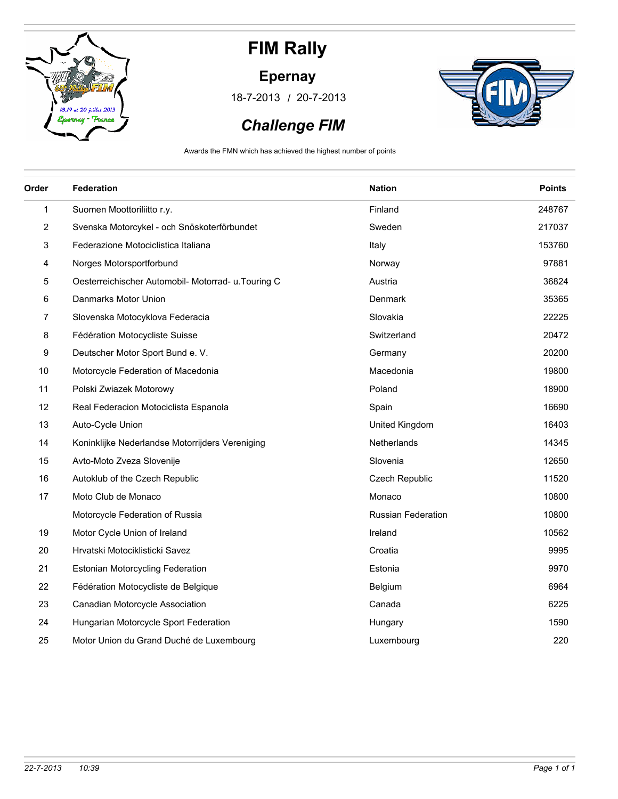

#### **Epernay**

/ 18-7-2013 20-7-2013



### *Challenge FIM*

Awards the FMN which has achieved the highest number of points

| Order          | <b>Federation</b>                                  | <b>Nation</b>             | <b>Points</b> |
|----------------|----------------------------------------------------|---------------------------|---------------|
| 1              | Suomen Moottoriliitto r.y.                         | Finland                   | 248767        |
| $\overline{c}$ | Svenska Motorcykel - och Snöskoterförbundet        | Sweden                    | 217037        |
| 3              | Federazione Motociclistica Italiana                | Italy                     | 153760        |
| 4              | Norges Motorsportforbund                           | Norway                    | 97881         |
| 5              | Oesterreichischer Automobil- Motorrad- u.Touring C | Austria                   | 36824         |
| 6              | Danmarks Motor Union                               | Denmark                   | 35365         |
| 7              | Slovenska Motocyklova Federacia                    | Slovakia                  | 22225         |
| 8              | Fédération Motocycliste Suisse                     | Switzerland               | 20472         |
| 9              | Deutscher Motor Sport Bund e. V.                   | Germany                   | 20200         |
| 10             | Motorcycle Federation of Macedonia                 | Macedonia                 | 19800         |
| 11             | Polski Zwiazek Motorowy                            | Poland                    | 18900         |
| 12             | Real Federacion Motociclista Espanola              | Spain                     | 16690         |
| 13             | Auto-Cycle Union                                   | United Kingdom            | 16403         |
| 14             | Koninklijke Nederlandse Motorrijders Vereniging    | Netherlands               | 14345         |
| 15             | Avto-Moto Zveza Slovenije                          | Slovenia                  | 12650         |
| 16             | Autoklub of the Czech Republic                     | Czech Republic            | 11520         |
| 17             | Moto Club de Monaco                                | Monaco                    | 10800         |
|                | Motorcycle Federation of Russia                    | <b>Russian Federation</b> | 10800         |
| 19             | Motor Cycle Union of Ireland                       | Ireland                   | 10562         |
| 20             | Hrvatski Motociklisticki Savez                     | Croatia                   | 9995          |
| 21             | Estonian Motorcycling Federation                   | Estonia                   | 9970          |
| 22             | Fédération Motocycliste de Belgique                | Belgium                   | 6964          |
| 23             | Canadian Motorcycle Association                    | Canada                    | 6225          |
| 24             | Hungarian Motorcycle Sport Federation              | Hungary                   | 1590          |
| 25             | Motor Union du Grand Duché de Luxembourg           | Luxembourg                | 220           |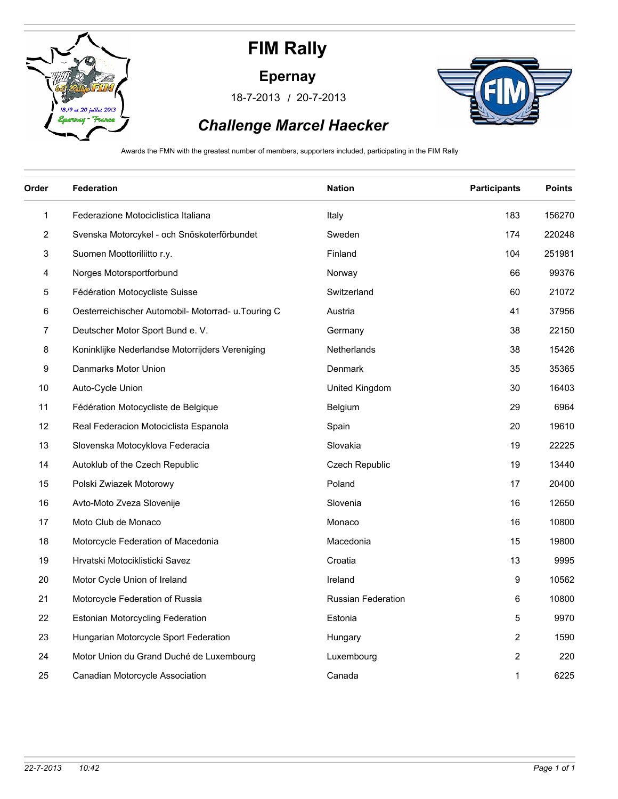

#### **Epernay**

/ 18-7-2013 20-7-2013



### *Challenge Marcel Haecker*

Awards the FMN with the greatest number of members, supporters included, participating in the FIM Rally

| Order        | <b>Federation</b>                                   | <b>Nation</b>             | <b>Participants</b>     | <b>Points</b> |
|--------------|-----------------------------------------------------|---------------------------|-------------------------|---------------|
| $\mathbf{1}$ | Federazione Motociclistica Italiana                 | Italy                     | 183                     | 156270        |
| 2            | Svenska Motorcykel - och Snöskoterförbundet         | Sweden                    | 174                     | 220248        |
| 3            | Suomen Moottoriliitto r.y.                          | Finland                   | 104                     | 251981        |
| 4            | Norges Motorsportforbund                            | Norway                    | 66                      | 99376         |
| 5            | Fédération Motocycliste Suisse                      | Switzerland               | 60                      | 21072         |
| 6            | Oesterreichischer Automobil- Motorrad- u. Touring C | Austria                   | 41                      | 37956         |
| 7            | Deutscher Motor Sport Bund e. V.                    | Germany                   | 38                      | 22150         |
| 8            | Koninklijke Nederlandse Motorrijders Vereniging     | Netherlands               | 38                      | 15426         |
| 9            | Danmarks Motor Union                                | Denmark                   | 35                      | 35365         |
| 10           | Auto-Cycle Union                                    | United Kingdom            | 30                      | 16403         |
| 11           | Fédération Motocycliste de Belgique                 | <b>Belgium</b>            | 29                      | 6964          |
| 12           | Real Federacion Motociclista Espanola               | Spain                     | 20                      | 19610         |
| 13           | Slovenska Motocyklova Federacia                     | Slovakia                  | 19                      | 22225         |
| 14           | Autoklub of the Czech Republic                      | Czech Republic            | 19                      | 13440         |
| 15           | Polski Zwiazek Motorowy                             | Poland                    | 17                      | 20400         |
| 16           | Avto-Moto Zveza Slovenije                           | Slovenia                  | 16                      | 12650         |
| 17           | Moto Club de Monaco                                 | Monaco                    | 16                      | 10800         |
| 18           | Motorcycle Federation of Macedonia                  | Macedonia                 | 15                      | 19800         |
| 19           | Hrvatski Motociklisticki Savez                      | Croatia                   | 13                      | 9995          |
| 20           | Motor Cycle Union of Ireland                        | Ireland                   | 9                       | 10562         |
| 21           | Motorcycle Federation of Russia                     | <b>Russian Federation</b> | 6                       | 10800         |
| 22           | Estonian Motorcycling Federation                    | Estonia                   | 5                       | 9970          |
| 23           | Hungarian Motorcycle Sport Federation               | Hungary                   | $\overline{\mathbf{c}}$ | 1590          |
| 24           | Motor Union du Grand Duché de Luxembourg            | Luxembourg                | $\overline{2}$          | 220           |
| 25           | Canadian Motorcycle Association                     | Canada                    | 1                       | 6225          |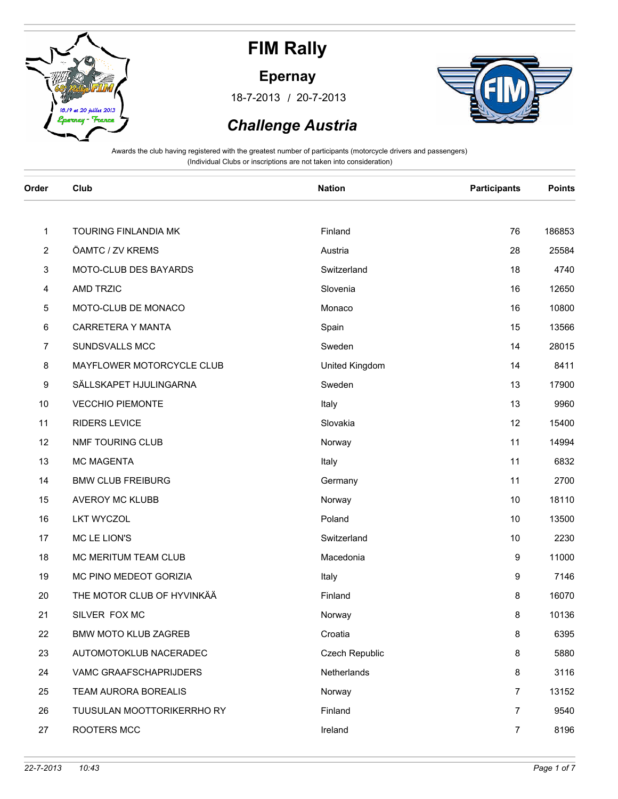

#### **Epernay**

/ 18-7-2013 20-7-2013



### *Challenge Austria*

| Order | Club                        | <b>Nation</b>         | <b>Participants</b> | <b>Points</b> |
|-------|-----------------------------|-----------------------|---------------------|---------------|
|       |                             |                       |                     |               |
| 1     | TOURING FINLANDIA MK        | Finland               | 76                  | 186853        |
| 2     | ÖAMTC / ZV KREMS            | Austria               | 28                  | 25584         |
| 3     | MOTO-CLUB DES BAYARDS       | Switzerland           | 18                  | 4740          |
| 4     | <b>AMD TRZIC</b>            | Slovenia              | 16                  | 12650         |
| 5     | MOTO-CLUB DE MONACO         | Monaco                | 16                  | 10800         |
| 6     | CARRETERA Y MANTA           | Spain                 | 15                  | 13566         |
| 7     | SUNDSVALLS MCC              | Sweden                | 14                  | 28015         |
| 8     | MAYFLOWER MOTORCYCLE CLUB   | United Kingdom        | 14                  | 8411          |
| 9     | SÄLLSKAPET HJULINGARNA      | Sweden                | 13                  | 17900         |
| 10    | <b>VECCHIO PIEMONTE</b>     | Italy                 | 13                  | 9960          |
| 11    | <b>RIDERS LEVICE</b>        | Slovakia              | 12                  | 15400         |
| 12    | NMF TOURING CLUB            | Norway                | 11                  | 14994         |
| 13    | <b>MC MAGENTA</b>           | Italy                 | 11                  | 6832          |
| 14    | <b>BMW CLUB FREIBURG</b>    | Germany               | 11                  | 2700          |
| 15    | <b>AVEROY MC KLUBB</b>      | Norway                | 10                  | 18110         |
| 16    | <b>LKT WYCZOL</b>           | Poland                | 10                  | 13500         |
| 17    | MC LE LION'S                | Switzerland           | 10                  | 2230          |
| 18    | MC MERITUM TEAM CLUB        | Macedonia             | 9                   | 11000         |
| 19    | MC PINO MEDEOT GORIZIA      | Italy                 | 9                   | 7146          |
| 20    | THE MOTOR CLUB OF HYVINKÄÄ  | Finland               | 8                   | 16070         |
| 21    | SILVER FOX MC               | Norway                | 8                   | 10136         |
| 22    | <b>BMW MOTO KLUB ZAGREB</b> | Croatia               | 8                   | 6395          |
| 23    | AUTOMOTOKLUB NACERADEC      | <b>Czech Republic</b> | 8                   | 5880          |
| 24    | VAMC GRAAFSCHAPRIJDERS      | Netherlands           | 8                   | 3116          |
| 25    | TEAM AURORA BOREALIS        | Norway                | $\overline{7}$      | 13152         |
| 26    | TUUSULAN MOOTTORIKERRHO RY  | Finland               | 7                   | 9540          |
| 27    | ROOTERS MCC                 | Ireland               | $\overline{7}$      | 8196          |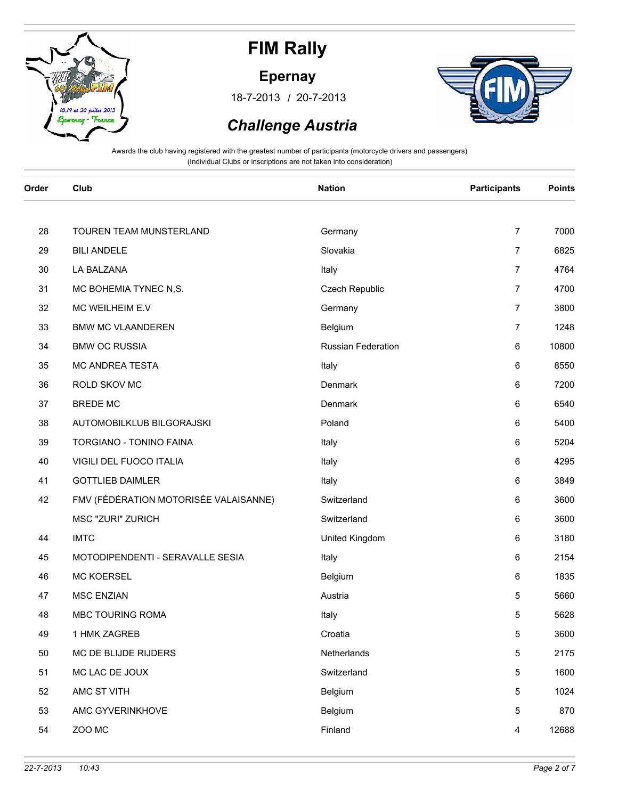

#### **Epernay**

/ 18-7-2013 20-7-2013



### *Challenge Austria*

| Order | Club                                  | <b>Nation</b>      | <b>Participants</b> | <b>Points</b> |
|-------|---------------------------------------|--------------------|---------------------|---------------|
| 28    | TOUREN TEAM MUNSTERLAND               | Germany            | $\overline{7}$      | 7000          |
| 29    | <b>BILI ANDELE</b>                    | Slovakia           | $\overline{7}$      | 6825          |
| 30    | LA BALZANA                            | Italy              | $\overline{7}$      | 4764          |
| 31    | MC BOHEMIA TYNEC N,S.                 | Czech Republic     | 7                   | 4700          |
| 32    | MC WEILHEIM E.V                       | Germany            | $\overline{7}$      | 3800          |
| 33    | <b>BMW MC VLAANDEREN</b>              | Belgium            | $\overline{7}$      | 1248          |
| 34    | <b>BMW OC RUSSIA</b>                  | Russian Federation | 6                   | 10800         |
| 35    | MC ANDREA TESTA                       | Italy              | 6                   | 8550          |
| 36    | ROLD SKOV MC                          | Denmark            | 6                   | 7200          |
| 37    | <b>BREDE MC</b>                       | <b>Denmark</b>     | 6                   | 6540          |
| 38    | AUTOMOBILKLUB BILGORAJSKI             | Poland             | 6                   | 5400          |
| 39    | TORGIANO - TONINO FAINA               | Italy              | 6                   | 5204          |
| 40    | VIGILI DEL FUOCO ITALIA               | Italy              | 6                   | 4295          |
| 41    | <b>GOTTLIEB DAIMLER</b>               | Italy              | 6                   | 3849          |
| 42    | FMV (FÉDÉRATION MOTORISÉE VALAISANNE) | Switzerland        | 6                   | 3600          |
|       | MSC "ZURI" ZURICH                     | Switzerland        | 6                   | 3600          |
| 44    | <b>IMTC</b>                           | United Kingdom     | 6                   | 3180          |
| 45    | MOTODIPENDENTI - SERAVALLE SESIA      | Italy              | 6                   | 2154          |
| 46    | <b>MC KOERSEL</b>                     | Belgium            | 6                   | 1835          |
| 47    | <b>MSC ENZIAN</b>                     | Austria            | 5                   | 5660          |
| 48    | MBC TOURING ROMA                      | Italy              | 5                   | 5628          |
| 49    | 1 HMK ZAGREB                          | Croatia            | 5                   | 3600          |
| 50    | MC DE BLIJDE RIJDERS                  | Netherlands        | 5                   | 2175          |
| 51    | MC LAC DE JOUX                        | Switzerland        | 5                   | 1600          |
| 52    | AMC ST VITH                           | Belgium            | 5                   | 1024          |
| 53    | AMC GYVERINKHOVE                      | Belgium            | 5                   | 870           |
| 54    | ZOO MC                                | Finland            | 4                   | 12688         |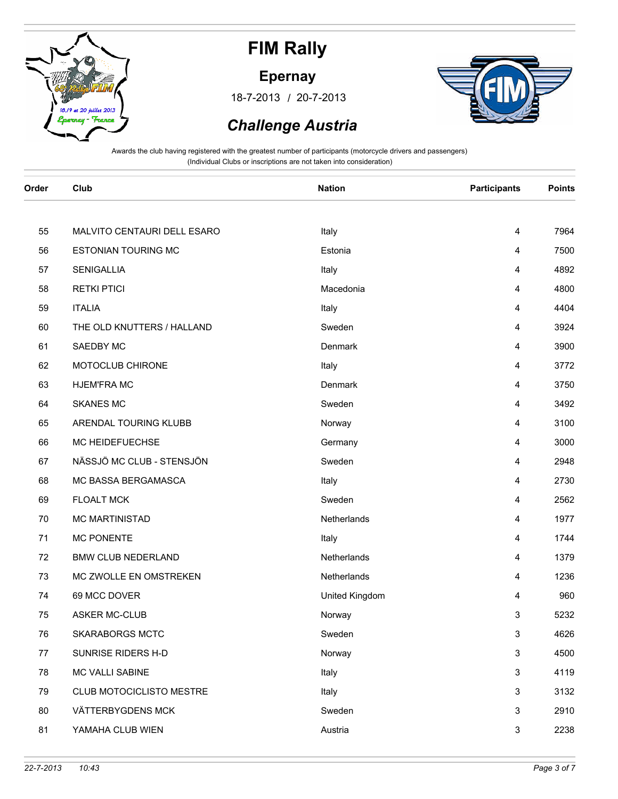

#### **Epernay**

/ 18-7-2013 20-7-2013



### *Challenge Austria*

| Order | Club                        | <b>Nation</b>  | <b>Participants</b>     | <b>Points</b> |
|-------|-----------------------------|----------------|-------------------------|---------------|
|       |                             |                |                         |               |
| 55    | MALVITO CENTAURI DELL ESARO | Italy          | 4                       | 7964          |
| 56    | <b>ESTONIAN TOURING MC</b>  | Estonia        | 4                       | 7500          |
| 57    | <b>SENIGALLIA</b>           | Italy          | 4                       | 4892          |
| 58    | <b>RETKI PTICI</b>          | Macedonia      | 4                       | 4800          |
| 59    | <b>ITALIA</b>               | Italy          | 4                       | 4404          |
| 60    | THE OLD KNUTTERS / HALLAND  | Sweden         | 4                       | 3924          |
| 61    | SAEDBY MC                   | Denmark        | 4                       | 3900          |
| 62    | MOTOCLUB CHIRONE            | Italy          | 4                       | 3772          |
| 63    | <b>HJEM'FRA MC</b>          | Denmark        | 4                       | 3750          |
| 64    | <b>SKANES MC</b>            | Sweden         | 4                       | 3492          |
| 65    | ARENDAL TOURING KLUBB       | Norway         | 4                       | 3100          |
| 66    | MC HEIDEFUECHSE             | Germany        | 4                       | 3000          |
| 67    | NÄSSJÖ MC CLUB - STENSJÖN   | Sweden         | 4                       | 2948          |
| 68    | MC BASSA BERGAMASCA         | Italy          | 4                       | 2730          |
| 69    | <b>FLOALT MCK</b>           | Sweden         | $\overline{\mathbf{4}}$ | 2562          |
| 70    | <b>MC MARTINISTAD</b>       | Netherlands    | 4                       | 1977          |
| 71    | <b>MC PONENTE</b>           | Italy          | 4                       | 1744          |
| 72    | <b>BMW CLUB NEDERLAND</b>   | Netherlands    | 4                       | 1379          |
| 73    | MC ZWOLLE EN OMSTREKEN      | Netherlands    | 4                       | 1236          |
| 74    | 69 MCC DOVER                | United Kingdom | 4                       | 960           |
| 75    | <b>ASKER MC-CLUB</b>        | Norway         | 3                       | 5232          |
| 76    | <b>SKARABORGS MCTC</b>      | Sweden         | $\sqrt{3}$              | 4626          |
| 77    | SUNRISE RIDERS H-D          | Norway         | 3                       | 4500          |
| 78    | MC VALLI SABINE             | Italy          | 3                       | 4119          |
| 79    | CLUB MOTOCICLISTO MESTRE    | Italy          | $\mathbf{3}$            | 3132          |
| 80    | VÄTTERBYGDENS MCK           | Sweden         | $\mathsf 3$             | 2910          |
| 81    | YAMAHA CLUB WIEN            | Austria        | 3                       | 2238          |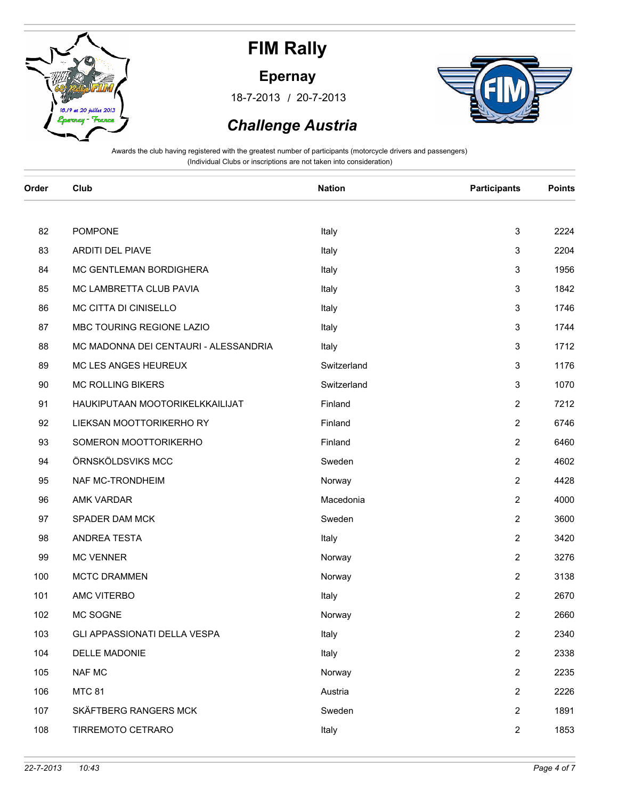

#### **Epernay**

/ 18-7-2013 20-7-2013



### *Challenge Austria*

| Order | Club                                  | <b>Nation</b> | <b>Participants</b> | <b>Points</b> |
|-------|---------------------------------------|---------------|---------------------|---------------|
|       |                                       |               |                     |               |
| 82    | <b>POMPONE</b>                        | Italy         | 3                   | 2224          |
| 83    | <b>ARDITI DEL PIAVE</b>               | Italy         | 3                   | 2204          |
| 84    | MC GENTLEMAN BORDIGHERA               | Italy         | 3                   | 1956          |
| 85    | MC LAMBRETTA CLUB PAVIA               | Italy         | $\mathsf 3$         | 1842          |
| 86    | MC CITTA DI CINISELLO                 | Italy         | 3                   | 1746          |
| 87    | MBC TOURING REGIONE LAZIO             | Italy         | 3                   | 1744          |
| 88    | MC MADONNA DEI CENTAURI - ALESSANDRIA | Italy         | $\mathsf 3$         | 1712          |
| 89    | MC LES ANGES HEUREUX                  | Switzerland   | 3                   | 1176          |
| 90    | <b>MC ROLLING BIKERS</b>              | Switzerland   | 3                   | 1070          |
| 91    | HAUKIPUTAAN MOOTORIKELKKAILIJAT       | Finland       | $\overline{2}$      | 7212          |
| 92    | LIEKSAN MOOTTORIKERHO RY              | Finland       | $\overline{2}$      | 6746          |
| 93    | SOMERON MOOTTORIKERHO                 | Finland       | 2                   | 6460          |
| 94    | ÖRNSKÖLDSVIKS MCC                     | Sweden        | 2                   | 4602          |
| 95    | NAF MC-TRONDHEIM                      | Norway        | $\overline{2}$      | 4428          |
| 96    | AMK VARDAR                            | Macedonia     | 2                   | 4000          |
| 97    | SPADER DAM MCK                        | Sweden        | $\overline{2}$      | 3600          |
| 98    | ANDREA TESTA                          | Italy         | $\mathbf{2}$        | 3420          |
| 99    | <b>MC VENNER</b>                      | Norway        | 2                   | 3276          |
| 100   | <b>MCTC DRAMMEN</b>                   | Norway        | $\overline{2}$      | 3138          |
| 101   | AMC VITERBO                           | Italy         | $\overline{2}$      | 2670          |
| 102   | MC SOGNE                              | Norway        | 2                   | 2660          |
| 103   | GLI APPASSIONATI DELLA VESPA          | Italy         | $\boldsymbol{2}$    | 2340          |
| 104   | <b>DELLE MADONIE</b>                  | Italy         | $\mathbf{2}$        | 2338          |
| 105   | <b>NAF MC</b>                         | Norway        | $\overline{2}$      | 2235          |
| 106   | <b>MTC 81</b>                         | Austria       | $\overline{2}$      | 2226          |
| 107   | SKÄFTBERG RANGERS MCK                 | Sweden        | $\overline{2}$      | 1891          |
| 108   | TIRREMOTO CETRARO                     | Italy         | $\overline{2}$      | 1853          |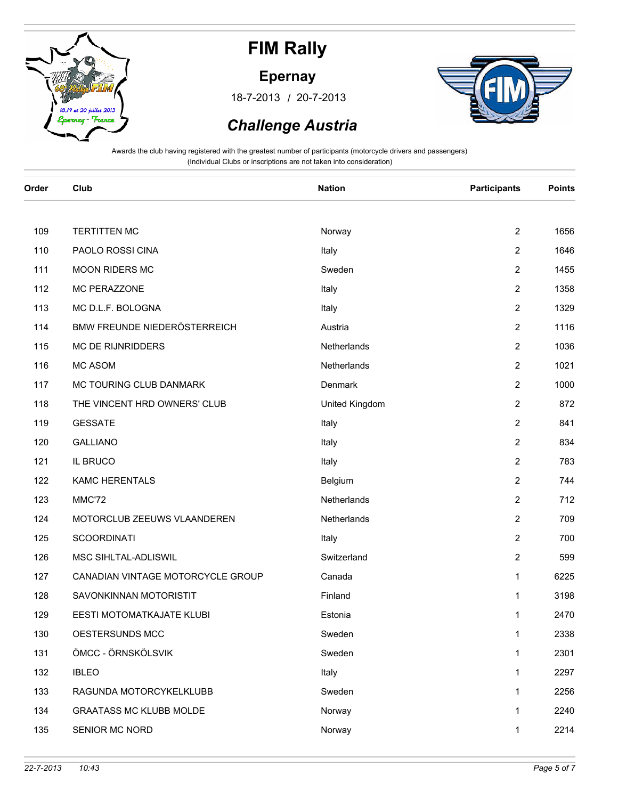

#### **Epernay**

/ 18-7-2013 20-7-2013



### *Challenge Austria*

| Order | Club                              | <b>Nation</b>  | <b>Participants</b> | <b>Points</b> |
|-------|-----------------------------------|----------------|---------------------|---------------|
|       |                                   |                |                     |               |
| 109   | <b>TERTITTEN MC</b>               | Norway         | $\overline{2}$      | 1656          |
| 110   | PAOLO ROSSI CINA                  | Italy          | $\overline{2}$      | 1646          |
| 111   | MOON RIDERS MC                    | Sweden         | $\overline{2}$      | 1455          |
| 112   | MC PERAZZONE                      | Italy          | $\overline{2}$      | 1358          |
| 113   | MC D.L.F. BOLOGNA                 | Italy          | 2                   | 1329          |
| 114   | BMW FREUNDE NIEDERÖSTERREICH      | Austria        | $\overline{2}$      | 1116          |
| 115   | MC DE RIJNRIDDERS                 | Netherlands    | $\overline{2}$      | 1036          |
| 116   | <b>MC ASOM</b>                    | Netherlands    | $\overline{2}$      | 1021          |
| 117   | MC TOURING CLUB DANMARK           | Denmark        | $\overline{2}$      | 1000          |
| 118   | THE VINCENT HRD OWNERS' CLUB      | United Kingdom | $\overline{c}$      | 872           |
| 119   | <b>GESSATE</b>                    | Italy          | 2                   | 841           |
| 120   | <b>GALLIANO</b>                   | Italy          | $\overline{c}$      | 834           |
| 121   | IL BRUCO                          | Italy          | $\overline{c}$      | 783           |
| 122   | <b>KAMC HERENTALS</b>             | Belgium        | $\overline{c}$      | 744           |
| 123   | MMC'72                            | Netherlands    | $\overline{2}$      | 712           |
| 124   | MOTORCLUB ZEEUWS VLAANDEREN       | Netherlands    | 2                   | 709           |
| 125   | <b>SCOORDINATI</b>                | Italy          | 2                   | 700           |
| 126   | MSC SIHLTAL-ADLISWIL              | Switzerland    | $\overline{2}$      | 599           |
| 127   | CANADIAN VINTAGE MOTORCYCLE GROUP | Canada         | 1                   | 6225          |
| 128   | SAVONKINNAN MOTORISTIT            | Finland        | 1                   | 3198          |
| 129   | EESTI MOTOMATKAJATE KLUBI         | Estonia        | 1                   | 2470          |
| 130   | OESTERSUNDS MCC                   | Sweden         | 1                   | 2338          |
| 131   | ÖMCC - ÖRNSKÖLSVIK                | Sweden         | 1                   | 2301          |
| 132   | <b>IBLEO</b>                      | Italy          | $\mathbf 1$         | 2297          |
| 133   | RAGUNDA MOTORCYKELKLUBB           | Sweden         | $\mathbf{1}$        | 2256          |
| 134   | <b>GRAATASS MC KLUBB MOLDE</b>    | Norway         | $\mathbf{1}$        | 2240          |
| 135   | SENIOR MC NORD                    | Norway         | $\mathbf{1}$        | 2214          |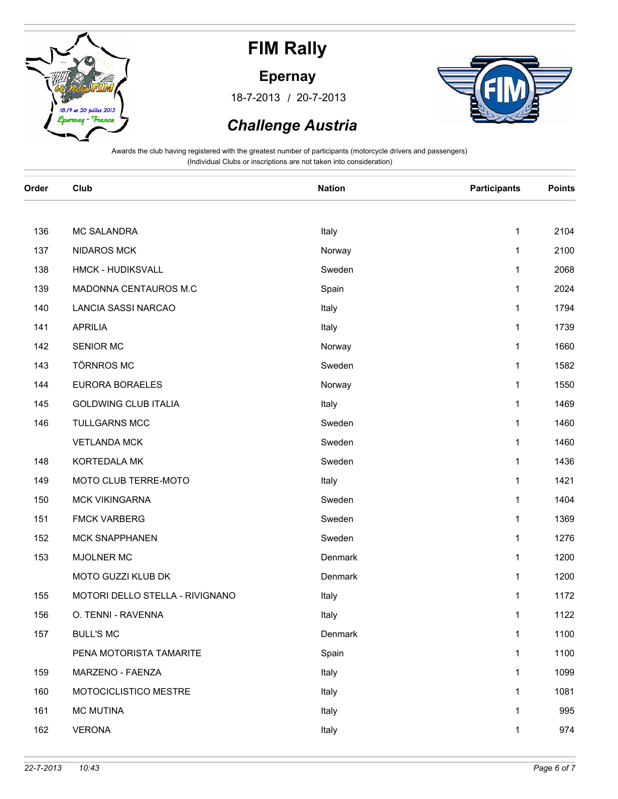

**Epernay**

/ 18-7-2013 20-7-2013



### *Challenge Austria*

| Order | Club                            | <b>Nation</b> | <b>Participants</b> | <b>Points</b> |
|-------|---------------------------------|---------------|---------------------|---------------|
|       |                                 |               |                     |               |
| 136   | <b>MC SALANDRA</b>              | Italy         | 1                   | 2104          |
| 137   | NIDAROS MCK                     | Norway        | 1                   | 2100          |
| 138   | HMCK - HUDIKSVALL               | Sweden        | 1                   | 2068          |
| 139   | MADONNA CENTAUROS M.C           | Spain         | $\mathbf{1}$        | 2024          |
| 140   | LANCIA SASSI NARCAO             | Italy         | 1                   | 1794          |
| 141   | <b>APRILIA</b>                  | Italy         | 1                   | 1739          |
| 142   | <b>SENIOR MC</b>                | Norway        | 1                   | 1660          |
| 143   | <b>TÖRNROS MC</b>               | Sweden        | 1                   | 1582          |
| 144   | EURORA BORAELES                 | Norway        | 1                   | 1550          |
| 145   | <b>GOLDWING CLUB ITALIA</b>     | Italy         | 1                   | 1469          |
| 146   | <b>TULLGARNS MCC</b>            | Sweden        | 1                   | 1460          |
|       | <b>VETLANDA MCK</b>             | Sweden        | 1                   | 1460          |
| 148   | KORTEDALA MK                    | Sweden        | 1                   | 1436          |
| 149   | MOTO CLUB TERRE-MOTO            | Italy         | 1                   | 1421          |
| 150   | MCK VIKINGARNA                  | Sweden        | 1                   | 1404          |
| 151   | <b>FMCK VARBERG</b>             | Sweden        | 1                   | 1369          |
| 152   | <b>MCK SNAPPHANEN</b>           | Sweden        | 1                   | 1276          |
| 153   | <b>MJOLNER MC</b>               | Denmark       | 1                   | 1200          |
|       | MOTO GUZZI KLUB DK              | Denmark       | 1                   | 1200          |
| 155   | MOTORI DELLO STELLA - RIVIGNANO | Italy         | 1                   | 1172          |
| 156   | O. TENNI - RAVENNA              | Italy         | 1                   | 1122          |
| 157   | <b>BULL'S MC</b>                | Denmark       | 1                   | 1100          |
|       | PENA MOTORISTA TAMARITE         | Spain         | 1                   | 1100          |
| 159   | MARZENO - FAENZA                | Italy         | 1                   | 1099          |
| 160   | MOTOCICLISTICO MESTRE           | Italy         | 1                   | 1081          |
| 161   | <b>MC MUTINA</b>                | Italy         | 1                   | 995           |
| 162   | <b>VERONA</b>                   | Italy         | 1                   | 974           |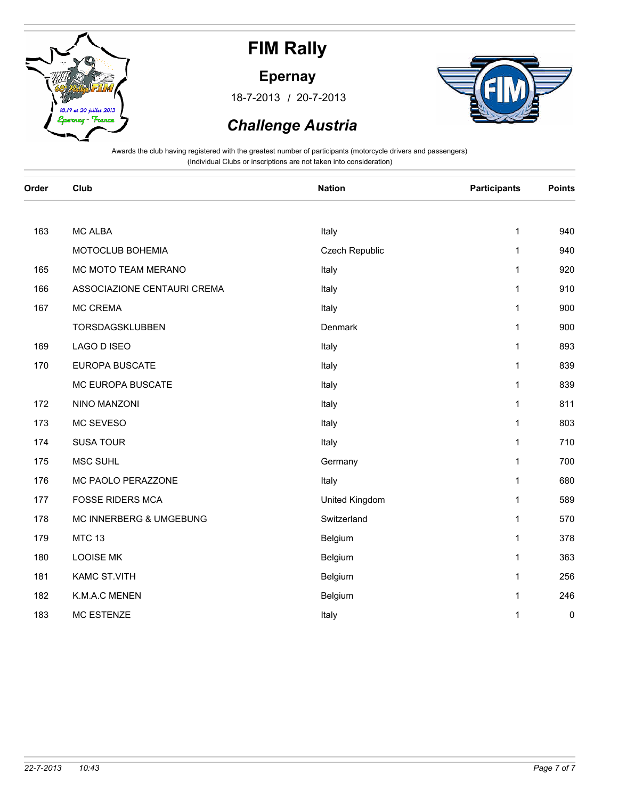

#### **Epernay**

/ 18-7-2013 20-7-2013



### *Challenge Austria*

| Order | Club                        | <b>Nation</b>  | <b>Participants</b> | <b>Points</b> |
|-------|-----------------------------|----------------|---------------------|---------------|
|       |                             |                |                     |               |
| 163   | <b>MC ALBA</b>              | Italy          | 1                   | 940           |
|       | MOTOCLUB BOHEMIA            | Czech Republic | 1                   | 940           |
| 165   | MC MOTO TEAM MERANO         | Italy          | 1                   | 920           |
| 166   | ASSOCIAZIONE CENTAURI CREMA | Italy          | 1                   | 910           |
| 167   | MC CREMA                    | Italy          | 1                   | 900           |
|       | TORSDAGSKLUBBEN             | Denmark        | 1                   | 900           |
| 169   | LAGO D ISEO                 | Italy          | 1                   | 893           |
| 170   | <b>EUROPA BUSCATE</b>       | Italy          | 1                   | 839           |
|       | MC EUROPA BUSCATE           | Italy          | 1                   | 839           |
| 172   | NINO MANZONI                | Italy          | 1                   | 811           |
| 173   | MC SEVESO                   | Italy          | 1                   | 803           |
| 174   | <b>SUSA TOUR</b>            | Italy          | $\mathbf{1}$        | 710           |
| 175   | MSC SUHL                    | Germany        | $\mathbf{1}$        | 700           |
| 176   | MC PAOLO PERAZZONE          | Italy          | 1                   | 680           |
| 177   | <b>FOSSE RIDERS MCA</b>     | United Kingdom | 1                   | 589           |
| 178   | MC INNERBERG & UMGEBUNG     | Switzerland    | 1                   | 570           |
| 179   | <b>MTC 13</b>               | Belgium        | 1                   | 378           |
| 180   | <b>LOOISE MK</b>            | Belgium        | 1                   | 363           |
| 181   | KAMC ST.VITH                | Belgium        | 1                   | 256           |
| 182   | K.M.A.C MENEN               | Belgium        | 1                   | 246           |
| 183   | <b>MC ESTENZE</b>           | Italy          | 1                   | 0             |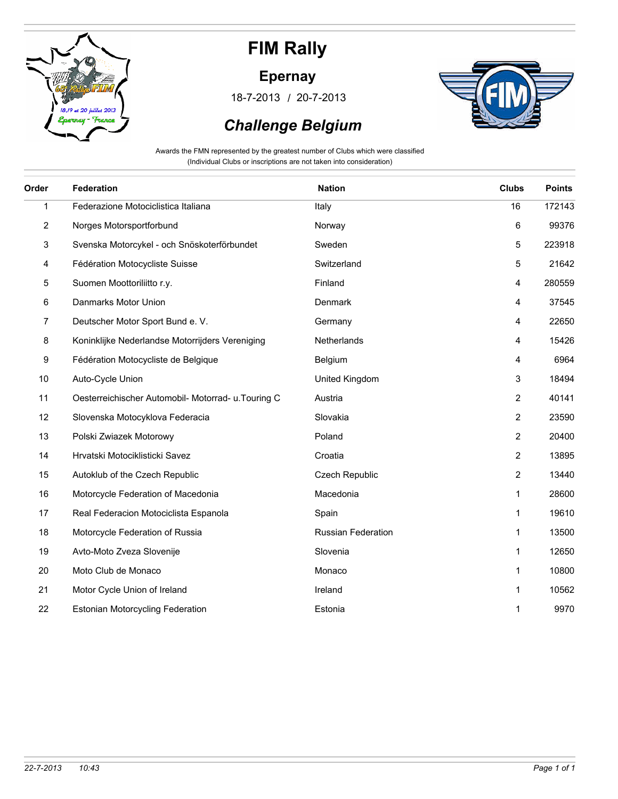

### **Epernay**

/ 18-7-2013 20-7-2013



## *Challenge Belgium*

Awards the FMN represented by the greatest number of Clubs which were classified (Individual Clubs or inscriptions are not taken into consideration)

| Order        | Federation                                          | <b>Nation</b>             | <b>Clubs</b>   | <b>Points</b> |
|--------------|-----------------------------------------------------|---------------------------|----------------|---------------|
| $\mathbf{1}$ | Federazione Motociclistica Italiana                 | Italy                     | 16             | 172143        |
| 2            | Norges Motorsportforbund                            | Norway                    | 6              | 99376         |
| 3            | Svenska Motorcykel - och Snöskoterförbundet         | Sweden                    | 5              | 223918        |
| 4            | Fédération Motocycliste Suisse                      | Switzerland               | 5              | 21642         |
| 5            | Suomen Moottoriliitto r.y.                          | Finland                   | 4              | 280559        |
| 6            | Danmarks Motor Union                                | Denmark                   | 4              | 37545         |
| 7            | Deutscher Motor Sport Bund e. V.                    | Germany                   | 4              | 22650         |
| 8            | Koninklijke Nederlandse Motorrijders Vereniging     | Netherlands               | 4              | 15426         |
| 9            | Fédération Motocycliste de Belgique                 | Belgium                   | 4              | 6964          |
| 10           | Auto-Cycle Union                                    | United Kingdom            | 3              | 18494         |
| 11           | Oesterreichischer Automobil- Motorrad- u. Touring C | Austria                   | $\overline{c}$ | 40141         |
| 12           | Slovenska Motocyklova Federacia                     | Slovakia                  | 2              | 23590         |
| 13           | Polski Zwiazek Motorowy                             | Poland                    | 2              | 20400         |
| 14           | Hrvatski Motociklisticki Savez                      | Croatia                   | $\overline{2}$ | 13895         |
| 15           | Autoklub of the Czech Republic                      | Czech Republic            | $\overline{c}$ | 13440         |
| 16           | Motorcycle Federation of Macedonia                  | Macedonia                 | 1              | 28600         |
| 17           | Real Federacion Motociclista Espanola               | Spain                     | 1              | 19610         |
| 18           | Motorcycle Federation of Russia                     | <b>Russian Federation</b> | 1              | 13500         |
| 19           | Avto-Moto Zveza Slovenije                           | Slovenia                  | 1              | 12650         |
| 20           | Moto Club de Monaco                                 | Monaco                    | 1              | 10800         |
| 21           | Motor Cycle Union of Ireland                        | Ireland                   | 1              | 10562         |
| 22           | Estonian Motorcycling Federation                    | Estonia                   | 1              | 9970          |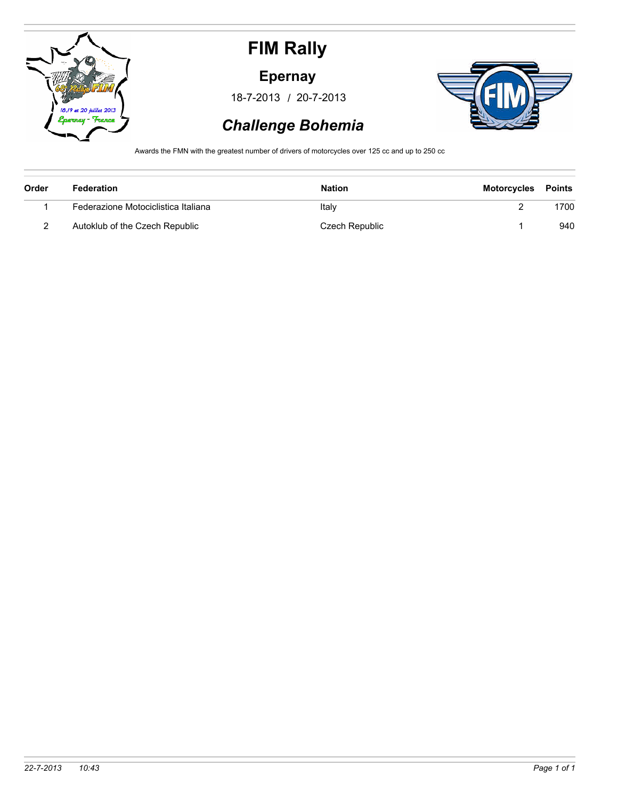

#### **Epernay**

/ 18-7-2013 20-7-2013



## *Challenge Bohemia*

Awards the FMN with the greatest number of drivers of motorcycles over 125 cc and up to 250 cc

| Order | Federation                          | <b>Nation</b>  | Motorcycles | Points |
|-------|-------------------------------------|----------------|-------------|--------|
|       | Federazione Motociclistica Italiana | Italy          |             | 1700   |
|       | Autoklub of the Czech Republic      | Czech Republic |             | 940    |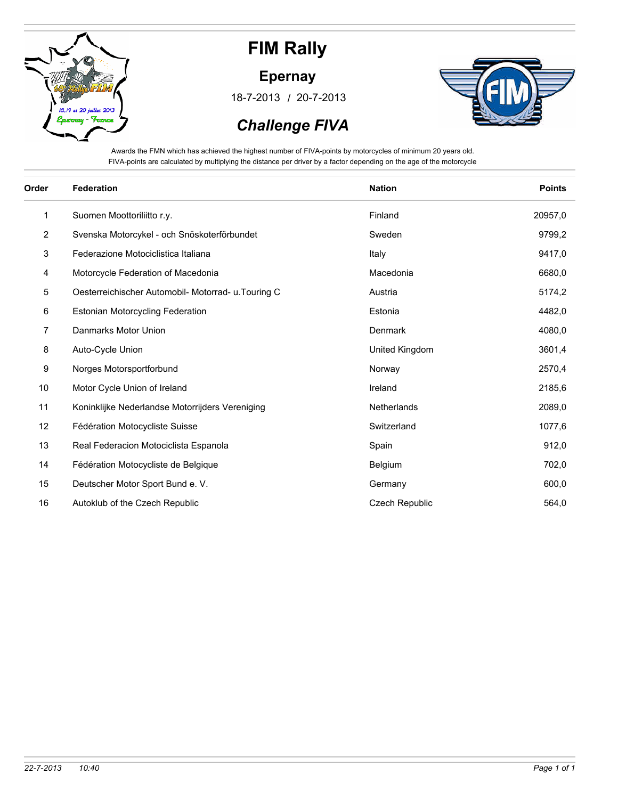

**Epernay**

/ 18-7-2013 20-7-2013



 *Challenge FIVA*

Awards the FMN which has achieved the highest number of FIVA-points by motorcycles of minimum 20 years old. FIVA-points are calculated by multiplying the distance per driver by a factor depending on the age of the motorcycle

| Order          | <b>Federation</b>                                   | <b>Nation</b>         | <b>Points</b> |
|----------------|-----------------------------------------------------|-----------------------|---------------|
| 1              | Suomen Moottoriliitto r.y.                          | Finland               | 20957,0       |
| $\overline{2}$ | Svenska Motorcykel - och Snöskoterförbundet         | Sweden                | 9799,2        |
| 3              | Federazione Motociclistica Italiana                 | Italy                 | 9417,0        |
| 4              | Motorcycle Federation of Macedonia                  | Macedonia             | 6680,0        |
| 5              | Oesterreichischer Automobil- Motorrad- u. Touring C | Austria               | 5174,2        |
| 6              | <b>Estonian Motorcycling Federation</b>             | Estonia               | 4482,0        |
| 7              | Danmarks Motor Union                                | Denmark               | 4080,0        |
| 8              | Auto-Cycle Union                                    | United Kingdom        | 3601,4        |
| 9              | Norges Motorsportforbund                            | Norway                | 2570,4        |
| 10             | Motor Cycle Union of Ireland                        | Ireland               | 2185,6        |
| 11             | Koninklijke Nederlandse Motorrijders Vereniging     | Netherlands           | 2089,0        |
| 12             | Fédération Motocycliste Suisse                      | Switzerland           | 1077,6        |
| 13             | Real Federacion Motociclista Espanola               | Spain                 | 912,0         |
| 14             | Fédération Motocycliste de Belgique                 | Belgium               | 702,0         |
| 15             | Deutscher Motor Sport Bund e. V.                    | Germany               | 600,0         |
| 16             | Autoklub of the Czech Republic                      | <b>Czech Republic</b> | 564,0         |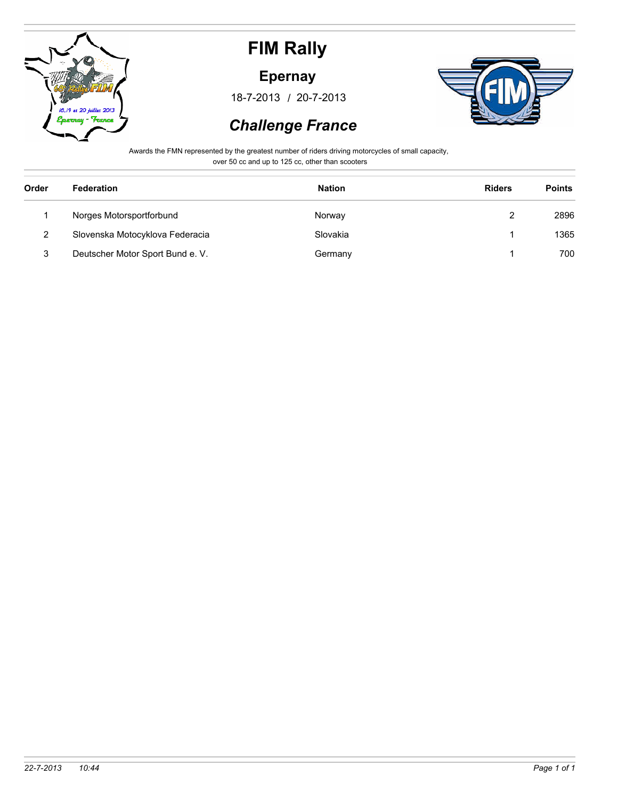

#### **Epernay**

/ 18-7-2013 20-7-2013



### *Challenge France*

Awards the FMN represented by the greatest number of riders driving motorcycles of small capacity, over 50 cc and up to 125 cc, other than scooters

| Order | <b>Federation</b>                | <b>Nation</b> | <b>Riders</b> | <b>Points</b> |
|-------|----------------------------------|---------------|---------------|---------------|
|       | Norges Motorsportforbund         | Norway        | 2             | 2896          |
| 2     | Slovenska Motocyklova Federacia  | Slovakia      |               | 1365          |
| 3     | Deutscher Motor Sport Bund e. V. | Germany       |               | 700           |
|       |                                  |               |               |               |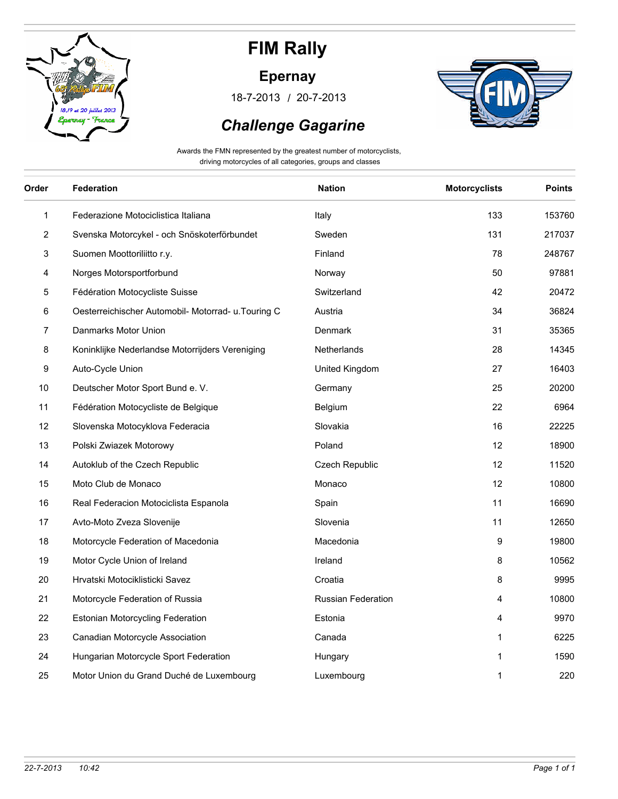

### **Epernay**

/ 18-7-2013 20-7-2013



### *Challenge Gagarine*

Awards the FMN represented by the greatest number of motorcyclists, driving motorcycles of all categories, groups and classes

| Order        | <b>Federation</b>                                   | <b>Nation</b>      | <b>Motorcyclists</b> | <b>Points</b> |
|--------------|-----------------------------------------------------|--------------------|----------------------|---------------|
| $\mathbf{1}$ | Federazione Motociclistica Italiana                 | Italy              | 133                  | 153760        |
| 2            | Svenska Motorcykel - och Snöskoterförbundet         | Sweden             | 131                  | 217037        |
| 3            | Suomen Moottoriliitto r.y.                          | Finland            | 78                   | 248767        |
| 4            | Norges Motorsportforbund                            | Norway             | 50                   | 97881         |
| 5            | Fédération Motocycliste Suisse                      | Switzerland        | 42                   | 20472         |
| 6            | Oesterreichischer Automobil- Motorrad- u. Touring C | Austria            | 34                   | 36824         |
| 7            | Danmarks Motor Union                                | Denmark            | 31                   | 35365         |
| 8            | Koninklijke Nederlandse Motorrijders Vereniging     | Netherlands        | 28                   | 14345         |
| 9            | Auto-Cycle Union                                    | United Kingdom     | 27                   | 16403         |
| 10           | Deutscher Motor Sport Bund e. V.                    | Germany            | 25                   | 20200         |
| 11           | Fédération Motocycliste de Belgique                 | Belgium            | 22                   | 6964          |
| 12           | Slovenska Motocyklova Federacia                     | Slovakia           | 16                   | 22225         |
| 13           | Polski Zwiazek Motorowy                             | Poland             | 12                   | 18900         |
| 14           | Autoklub of the Czech Republic                      | Czech Republic     | 12                   | 11520         |
| 15           | Moto Club de Monaco                                 | Monaco             | 12                   | 10800         |
| 16           | Real Federacion Motociclista Espanola               | Spain              | 11                   | 16690         |
| 17           | Avto-Moto Zveza Slovenije                           | Slovenia           | 11                   | 12650         |
| 18           | Motorcycle Federation of Macedonia                  | Macedonia          | 9                    | 19800         |
| 19           | Motor Cycle Union of Ireland                        | Ireland            | 8                    | 10562         |
| 20           | Hrvatski Motociklisticki Savez                      | Croatia            | 8                    | 9995          |
| 21           | Motorcycle Federation of Russia                     | Russian Federation | 4                    | 10800         |
| 22           | <b>Estonian Motorcycling Federation</b>             | Estonia            | 4                    | 9970          |
| 23           | Canadian Motorcycle Association                     | Canada             | 1                    | 6225          |
| 24           | Hungarian Motorcycle Sport Federation               | Hungary            | 1                    | 1590          |
| 25           | Motor Union du Grand Duché de Luxembourg            | Luxembourg         | 1                    | 220           |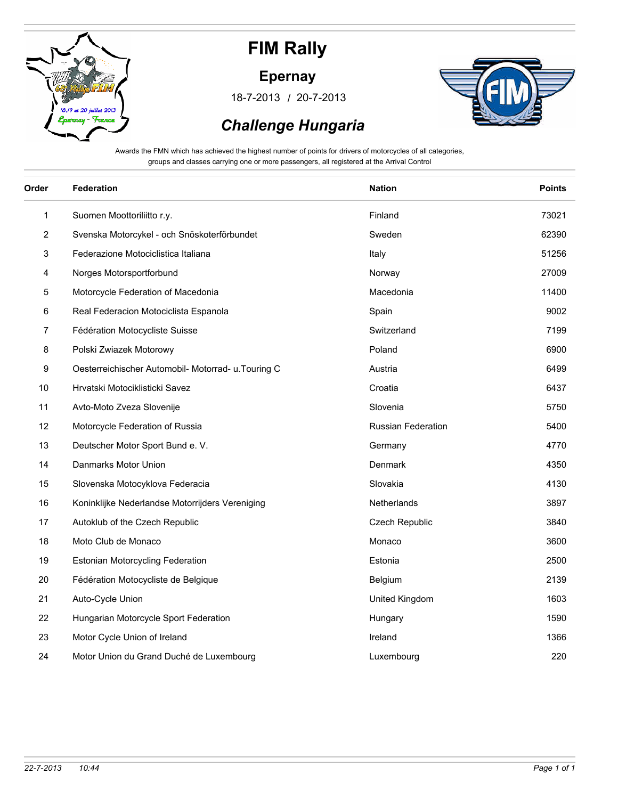

#### **Epernay**

/ 18-7-2013 20-7-2013



### *Challenge Hungaria*

Awards the FMN which has achieved the highest number of points for drivers of motorcycles of all categories, groups and classes carrying one or more passengers, all registered at the Arrival Control

| Order | <b>Federation</b>                                   | <b>Nation</b>             | <b>Points</b> |
|-------|-----------------------------------------------------|---------------------------|---------------|
| 1     | Suomen Moottoriliitto r.y.                          | Finland                   | 73021         |
| 2     | Svenska Motorcykel - och Snöskoterförbundet         | Sweden                    | 62390         |
| 3     | Federazione Motociclistica Italiana                 | Italy                     | 51256         |
| 4     | Norges Motorsportforbund                            | Norway                    | 27009         |
| 5     | Motorcycle Federation of Macedonia                  | Macedonia                 | 11400         |
| 6     | Real Federacion Motociclista Espanola               | Spain                     | 9002          |
| 7     | Fédération Motocycliste Suisse                      | Switzerland               | 7199          |
| 8     | Polski Zwiazek Motorowy                             | Poland                    | 6900          |
| 9     | Oesterreichischer Automobil- Motorrad- u. Touring C | Austria                   | 6499          |
| 10    | Hrvatski Motociklisticki Savez                      | Croatia                   | 6437          |
| 11    | Avto-Moto Zveza Slovenije                           | Slovenia                  | 5750          |
| 12    | Motorcycle Federation of Russia                     | <b>Russian Federation</b> | 5400          |
| 13    | Deutscher Motor Sport Bund e. V.                    | Germany                   | 4770          |
| 14    | Danmarks Motor Union                                | Denmark                   | 4350          |
| 15    | Slovenska Motocyklova Federacia                     | Slovakia                  | 4130          |
| 16    | Koninklijke Nederlandse Motorrijders Vereniging     | Netherlands               | 3897          |
| 17    | Autoklub of the Czech Republic                      | Czech Republic            | 3840          |
| 18    | Moto Club de Monaco                                 | Monaco                    | 3600          |
| 19    | <b>Estonian Motorcycling Federation</b>             | Estonia                   | 2500          |
| 20    | Fédération Motocycliste de Belgique                 | Belgium                   | 2139          |
| 21    | Auto-Cycle Union                                    | United Kingdom            | 1603          |
| 22    | Hungarian Motorcycle Sport Federation               | Hungary                   | 1590          |
| 23    | Motor Cycle Union of Ireland                        | Ireland                   | 1366          |
| 24    | Motor Union du Grand Duché de Luxembourg            | Luxembourg                | 220           |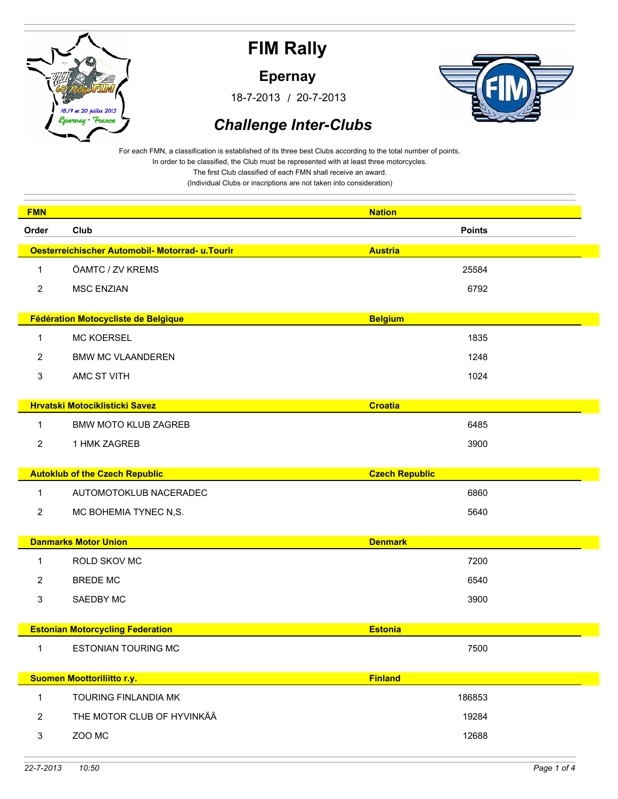

**Epernay**

/ 18-7-2013 20-7-2013



### *Challenge Inter-Clubs*

For each FMN, a classification is established of its three best Clubs according to the total number of points. In order to be classified, the Club must be represented with at least three motorcycles.

The first Club classified of each FMN shall receive an award.

| <b>FMN</b>     |                                                 | <b>Nation</b>         |  |
|----------------|-------------------------------------------------|-----------------------|--|
| Order          | Club                                            | <b>Points</b>         |  |
|                | Oesterreichischer Automobil- Motorrad- u.Tourir | <b>Austria</b>        |  |
| $\mathbf{1}$   | ÖAMTC / ZV KREMS                                | 25584                 |  |
| 2              | <b>MSC ENZIAN</b>                               | 6792                  |  |
|                |                                                 |                       |  |
|                | Fédération Motocycliste de Belgique             | <b>Belgium</b>        |  |
| 1              | <b>MC KOERSEL</b>                               | 1835                  |  |
| 2              | <b>BMW MC VLAANDEREN</b>                        | 1248                  |  |
| 3              | AMC ST VITH                                     | 1024                  |  |
|                | <b>Hrvatski Motociklisticki Savez</b>           | <b>Croatia</b>        |  |
|                |                                                 |                       |  |
| 1              | <b>BMW MOTO KLUB ZAGREB</b>                     | 6485                  |  |
| $\overline{2}$ | 1 HMK ZAGREB                                    | 3900                  |  |
|                | <b>Autoklub of the Czech Republic</b>           | <b>Czech Republic</b> |  |
| 1              | AUTOMOTOKLUB NACERADEC                          | 6860                  |  |
| $\overline{2}$ | MC BOHEMIA TYNEC N,S.                           | 5640                  |  |
|                |                                                 |                       |  |
|                | <b>Danmarks Motor Union</b>                     | <b>Denmark</b>        |  |
| -1             | ROLD SKOV MC                                    | 7200                  |  |
| 2              | <b>BREDE MC</b>                                 | 6540                  |  |
| 3              | SAEDBY MC                                       | 3900                  |  |
|                |                                                 |                       |  |
|                | <b>Estonian Motorcycling Federation</b>         | <b>Estonia</b>        |  |
| 1              | <b>ESTONIAN TOURING MC</b>                      | 7500                  |  |
|                | <b>Suomen Moottoriliitto r.y.</b>               | <b>Finland</b>        |  |
|                | TOURING FINLANDIA MK                            |                       |  |
| $\mathbf{1}$   |                                                 | 186853                |  |
| $\overline{2}$ | THE MOTOR CLUB OF HYVINKÄÄ                      | 19284                 |  |
| $\mathsf 3$    | ZOO MC                                          | 12688                 |  |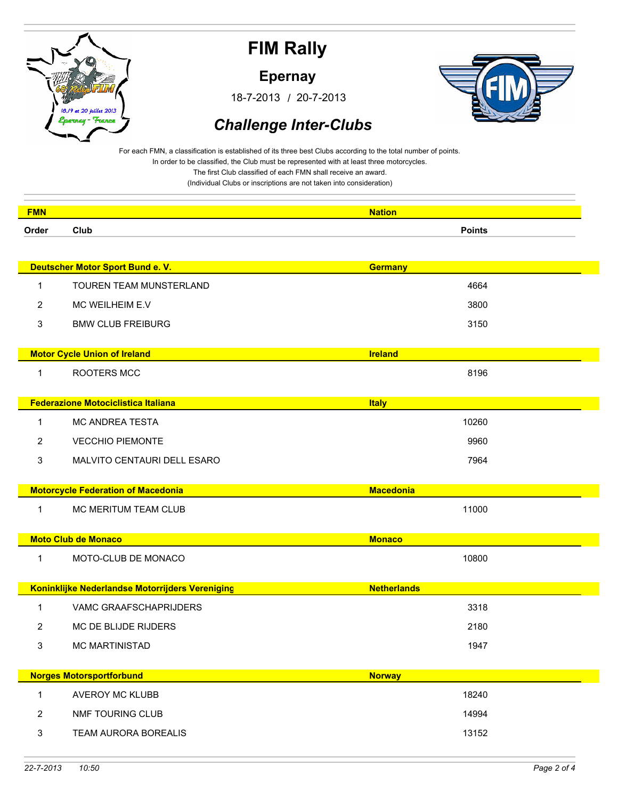

**Epernay**

/ 18-7-2013 20-7-2013



### *Challenge Inter-Clubs*

For each FMN, a classification is established of its three best Clubs according to the total number of points. In order to be classified, the Club must be represented with at least three motorcycles.

The first Club classified of each FMN shall receive an award.

| <b>FMN</b>     |                                                 | <b>Nation</b>      |
|----------------|-------------------------------------------------|--------------------|
| Order          | Club                                            | <b>Points</b>      |
|                |                                                 |                    |
|                | Deutscher Motor Sport Bund e. V.                | <b>Germany</b>     |
| $\mathbf{1}$   | <b>TOUREN TEAM MUNSTERLAND</b>                  | 4664               |
| $\overline{2}$ | MC WEILHEIM E.V                                 | 3800               |
| 3              | <b>BMW CLUB FREIBURG</b>                        | 3150               |
|                | <b>Motor Cycle Union of Ireland</b>             | <b>Ireland</b>     |
| $\mathbf{1}$   | ROOTERS MCC                                     | 8196               |
|                |                                                 |                    |
|                | <b>Federazione Motociclistica Italiana</b>      | <b>Italy</b>       |
| $\mathbf{1}$   | <b>MC ANDREA TESTA</b>                          | 10260              |
| $\overline{2}$ | <b>VECCHIO PIEMONTE</b>                         | 9960               |
| 3              | MALVITO CENTAURI DELL ESARO                     | 7964               |
|                | <b>Motorcycle Federation of Macedonia</b>       | <b>Macedonia</b>   |
| $\mathbf{1}$   | MC MERITUM TEAM CLUB                            | 11000              |
|                |                                                 |                    |
|                | <b>Moto Club de Monaco</b>                      | <b>Monaco</b>      |
| 1              | MOTO-CLUB DE MONACO                             | 10800              |
|                | Koninklijke Nederlandse Motorrijders Vereniging | <b>Netherlands</b> |
| 1              | VAMC GRAAFSCHAPRIJDERS                          | 3318               |
| 2              | MC DE BLIJDE RIJDERS                            | 2180               |
| 3              | <b>MC MARTINISTAD</b>                           | 1947               |
|                |                                                 |                    |
|                | <b>Norges Motorsportforbund</b>                 | <b>Norway</b>      |
| $\mathbf{1}$   | AVEROY MC KLUBB                                 | 18240              |
| $\overline{2}$ | NMF TOURING CLUB                                | 14994              |
| $\mathbf{3}$   | TEAM AURORA BOREALIS                            | 13152              |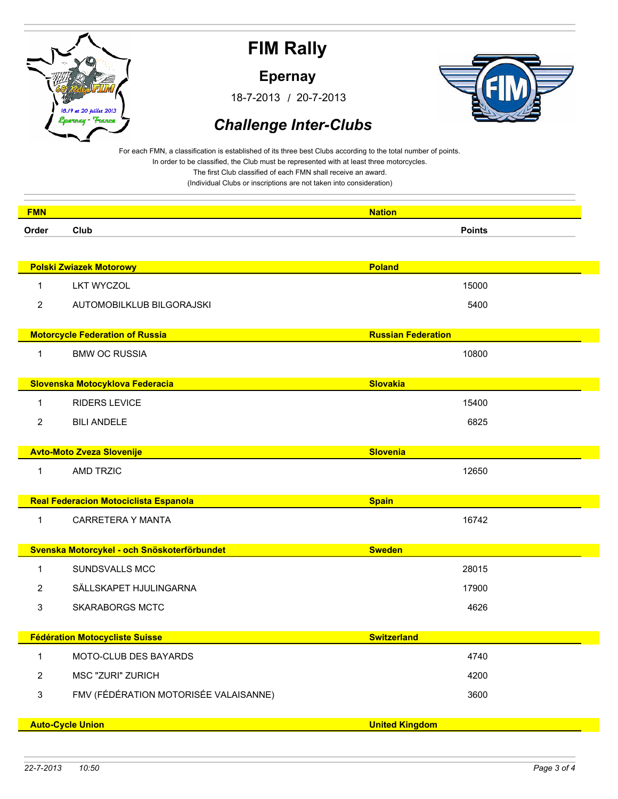

**Epernay**

/ 18-7-2013 20-7-2013



### *Challenge Inter-Clubs*

For each FMN, a classification is established of its three best Clubs according to the total number of points. In order to be classified, the Club must be represented with at least three motorcycles.

The first Club classified of each FMN shall receive an award.

| <b>FMN</b>     |                                             | <b>Nation</b>             |
|----------------|---------------------------------------------|---------------------------|
| Order          | Club                                        | <b>Points</b>             |
|                |                                             |                           |
|                | <b>Polski Zwiazek Motorowy</b>              | <b>Poland</b>             |
| 1              | <b>LKT WYCZOL</b>                           | 15000                     |
| 2              | AUTOMOBILKLUB BILGORAJSKI                   | 5400                      |
|                |                                             |                           |
|                | <b>Motorcycle Federation of Russia</b>      | <b>Russian Federation</b> |
| 1              | <b>BMW OC RUSSIA</b>                        | 10800                     |
|                | Slovenska Motocyklova Federacia             | <b>Slovakia</b>           |
|                |                                             |                           |
| 1              | <b>RIDERS LEVICE</b>                        | 15400                     |
| $\overline{2}$ | <b>BILI ANDELE</b>                          | 6825                      |
|                | <b>Avto-Moto Zveza Slovenije</b>            | <b>Slovenia</b>           |
| 1              | AMD TRZIC                                   | 12650                     |
|                |                                             |                           |
|                | Real Federacion Motociclista Espanola       | <b>Spain</b>              |
| 1              | CARRETERA Y MANTA                           | 16742                     |
|                |                                             |                           |
|                | Svenska Motorcykel - och Snöskoterförbundet | <b>Sweden</b>             |
| 1              | <b>SUNDSVALLS MCC</b>                       | 28015                     |
| 2              | SÄLLSKAPET HJULINGARNA                      | 17900                     |
| 3              | <b>SKARABORGS MCTC</b>                      | 4626                      |
|                | <b>Fédération Motocycliste Suisse</b>       | <b>Switzerland</b>        |
| 1              | MOTO-CLUB DES BAYARDS                       | 4740                      |
| $\overline{2}$ | <b>MSC "ZURI" ZURICH</b>                    | 4200                      |
|                | FMV (FÉDÉRATION MOTORISÉE VALAISANNE)       | 3600                      |
| 3              |                                             |                           |
|                | <b>Auto-Cycle Union</b>                     | <b>United Kingdom</b>     |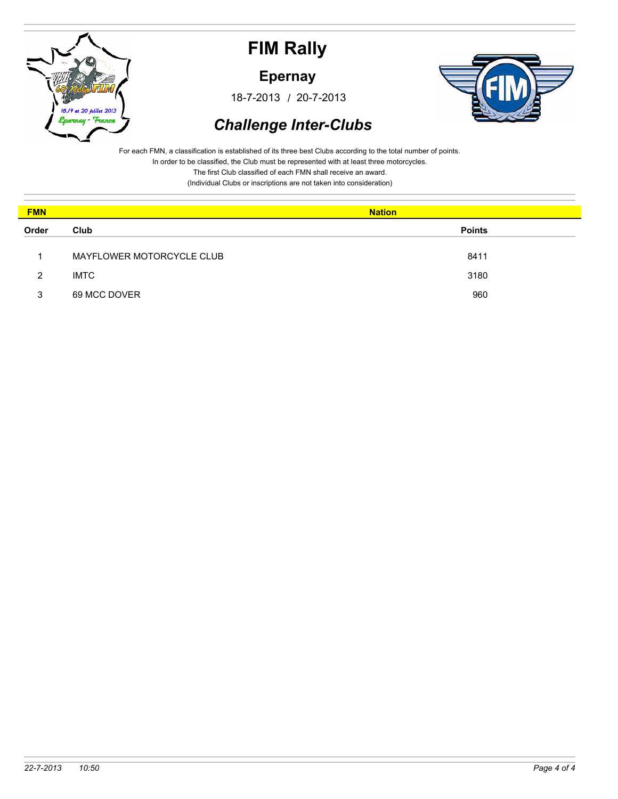

**Epernay**

/ 18-7-2013 20-7-2013



## *Challenge Inter-Clubs*

For each FMN, a classification is established of its three best Clubs according to the total number of points. In order to be classified, the Club must be represented with at least three motorcycles.

The first Club classified of each FMN shall receive an award.

| <b>FMN</b> |                           | <b>Nation</b> |
|------------|---------------------------|---------------|
| Order      | Club                      | <b>Points</b> |
|            | MAYFLOWER MOTORCYCLE CLUB | 8411          |
| 2          | <b>IMTC</b>               | 3180          |
| 3          | 69 MCC DOVER              | 960           |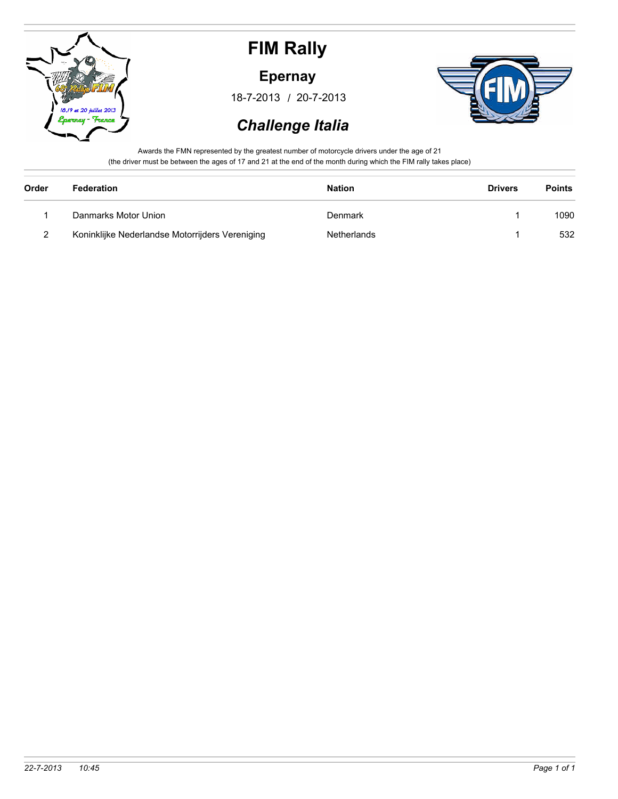

**Epernay**

/ 18-7-2013 20-7-2013



### *Challenge Italia*

Awards the FMN represented by the greatest number of motorcycle drivers under the age of 21 (the driver must be between the ages of 17 and 21 at the end of the month during which the FIM rally takes place)

| Order | Federation                                      | <b>Nation</b> | <b>Drivers</b> | <b>Points</b> |
|-------|-------------------------------------------------|---------------|----------------|---------------|
|       | Danmarks Motor Union                            | Denmark       |                | 1090          |
| 2     | Koninklijke Nederlandse Motorrijders Vereniging | Netherlands   |                | 532           |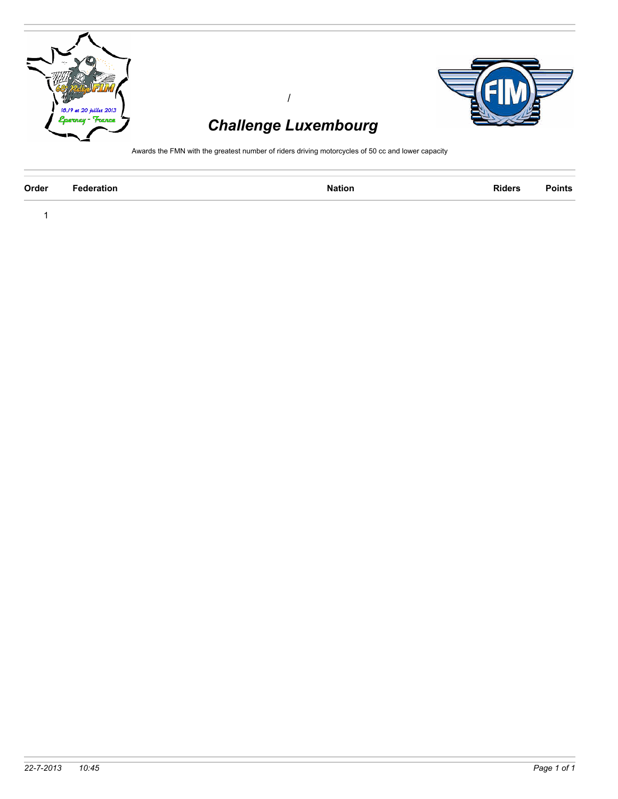

| Order<br><b>Federation</b><br><b>Riders</b><br><b>Nation</b> | <b>Points</b> |
|--------------------------------------------------------------|---------------|
|--------------------------------------------------------------|---------------|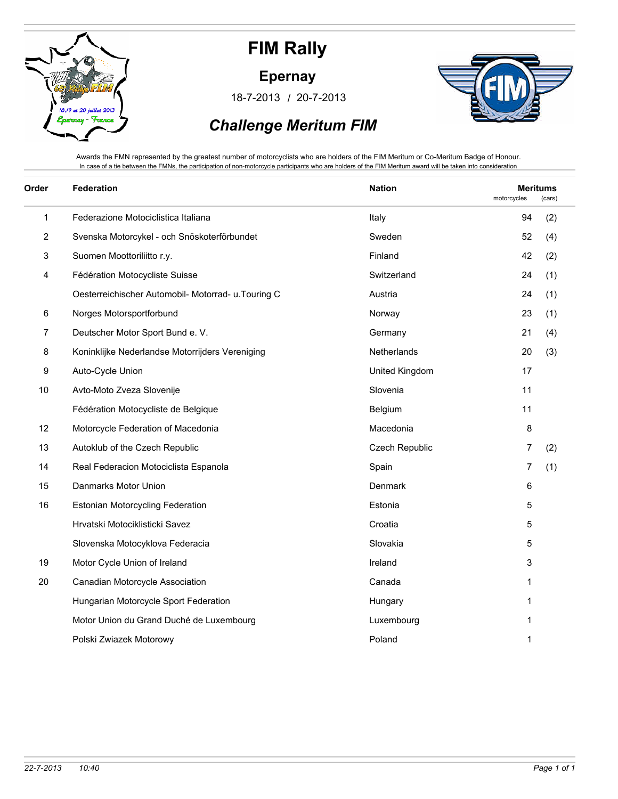

**Epernay**

/ 18-7-2013 20-7-2013



### *Challenge Meritum FIM*

Awards the FMN represented by the greatest number of motorcyclists who are holders of the FIM Meritum or Co-Meritum Badge of Honour. In case of a tie between the FMNs, the participation of non-motorcycle participants who are holders of the FIM Meritum award will be taken into consideration

| Order | <b>Federation</b>                                  | <b>Nation</b>  | motorcycles | <b>Meritums</b><br>(cars) |  |
|-------|----------------------------------------------------|----------------|-------------|---------------------------|--|
| 1     | Federazione Motociclistica Italiana                | Italy          | 94          | (2)                       |  |
| 2     | Svenska Motorcykel - och Snöskoterförbundet        | Sweden         | 52          | (4)                       |  |
| 3     | Suomen Moottoriliitto r.y.                         | Finland        | 42          | (2)                       |  |
| 4     | Fédération Motocycliste Suisse                     | Switzerland    | 24          | (1)                       |  |
|       | Oesterreichischer Automobil- Motorrad- u.Touring C | Austria        | 24          | (1)                       |  |
| 6     | Norges Motorsportforbund                           | Norway         | 23          | (1)                       |  |
| 7     | Deutscher Motor Sport Bund e. V.                   | Germany        | 21          | (4)                       |  |
| 8     | Koninklijke Nederlandse Motorrijders Vereniging    | Netherlands    | 20          | (3)                       |  |
| 9     | Auto-Cycle Union                                   | United Kingdom | 17          |                           |  |
| 10    | Avto-Moto Zveza Slovenije                          | Slovenia       | 11          |                           |  |
|       | Fédération Motocycliste de Belgique                | Belgium        | 11          |                           |  |
| 12    | Motorcycle Federation of Macedonia                 | Macedonia      | 8           |                           |  |
| 13    | Autoklub of the Czech Republic                     | Czech Republic | 7           | (2)                       |  |
| 14    | Real Federacion Motociclista Espanola              | Spain          | 7           | (1)                       |  |
| 15    | Danmarks Motor Union                               | Denmark        | 6           |                           |  |
| 16    | Estonian Motorcycling Federation                   | Estonia        | 5           |                           |  |
|       | Hrvatski Motociklisticki Savez                     | Croatia        | 5           |                           |  |
|       | Slovenska Motocyklova Federacia                    | Slovakia       | 5           |                           |  |
| 19    | Motor Cycle Union of Ireland                       | Ireland        | 3           |                           |  |
| 20    | Canadian Motorcycle Association                    | Canada         | 1           |                           |  |
|       | Hungarian Motorcycle Sport Federation              | Hungary        | 1           |                           |  |
|       | Motor Union du Grand Duché de Luxembourg           | Luxembourg     | 1           |                           |  |
|       | Polski Zwiazek Motorowy                            | Poland         | 1           |                           |  |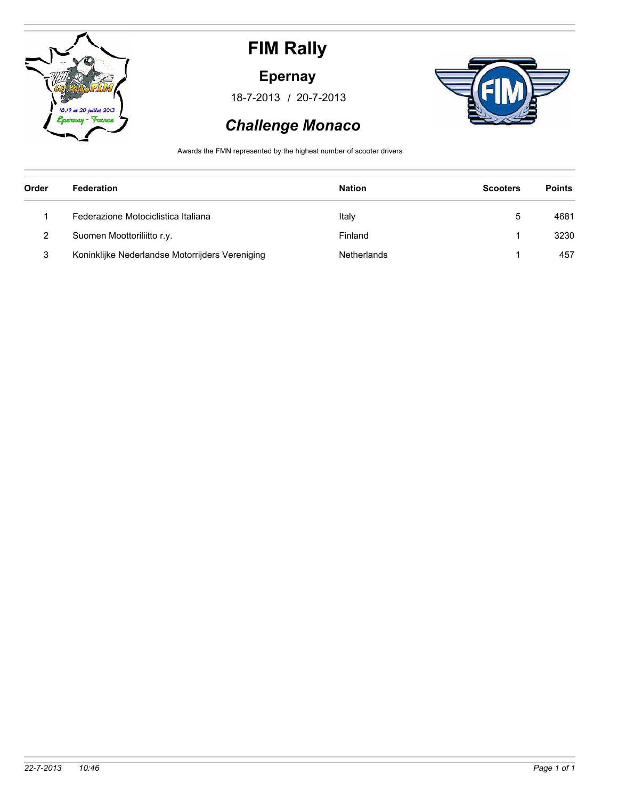

### **Epernay**

/ 18-7-2013 20-7-2013



### *Challenge Monaco*

Awards the FMN represented by the highest number of scooter drivers

| Order | Federation                                      | <b>Nation</b> | <b>Scooters</b> | <b>Points</b> |
|-------|-------------------------------------------------|---------------|-----------------|---------------|
|       | Federazione Motociclistica Italiana             | Italy         | 5               | 4681          |
| 2     | Suomen Moottoriliitto r.y.                      | Finland       |                 | 3230          |
| 3     | Koninklijke Nederlandse Motorrijders Vereniging | Netherlands   |                 | 457           |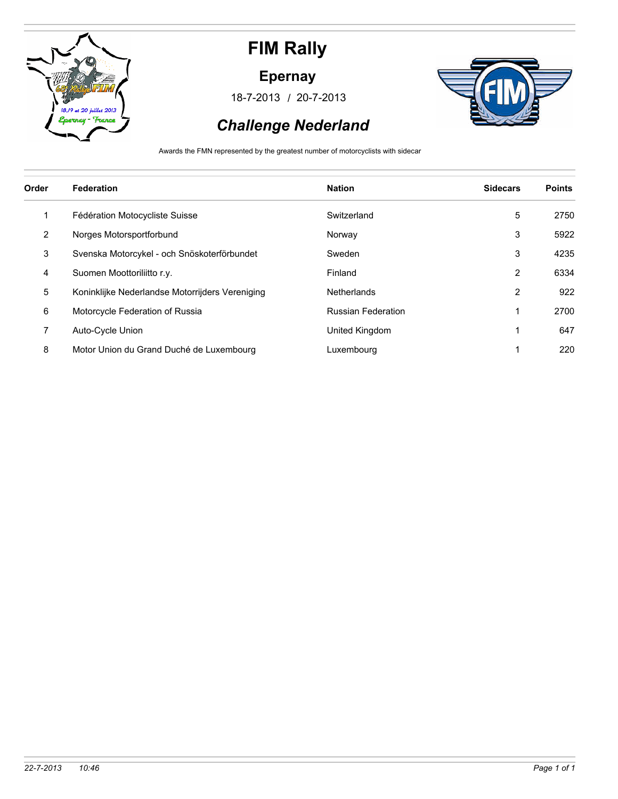

#### **Epernay**

/ 18-7-2013 20-7-2013



## *Challenge Nederland*

Awards the FMN represented by the greatest number of motorcyclists with sidecar

| Order | <b>Federation</b>                               | <b>Nation</b>             | <b>Sidecars</b> | <b>Points</b> |
|-------|-------------------------------------------------|---------------------------|-----------------|---------------|
| 1     | Fédération Motocycliste Suisse                  | Switzerland               | 5               | 2750          |
| 2     | Norges Motorsportforbund                        | Norway                    | 3               | 5922          |
| 3     | Svenska Motorcykel - och Snöskoterförbundet     | Sweden                    | 3               | 4235          |
| 4     | Suomen Moottoriliitto r.y.                      | Finland                   | 2               | 6334          |
| 5     | Koninklijke Nederlandse Motorrijders Vereniging | <b>Netherlands</b>        | 2               | 922           |
| 6     | Motorcycle Federation of Russia                 | <b>Russian Federation</b> |                 | 2700          |
| 7     | Auto-Cycle Union                                | United Kingdom            |                 | 647           |
| 8     | Motor Union du Grand Duché de Luxembourg        | Luxembourg                |                 | 220           |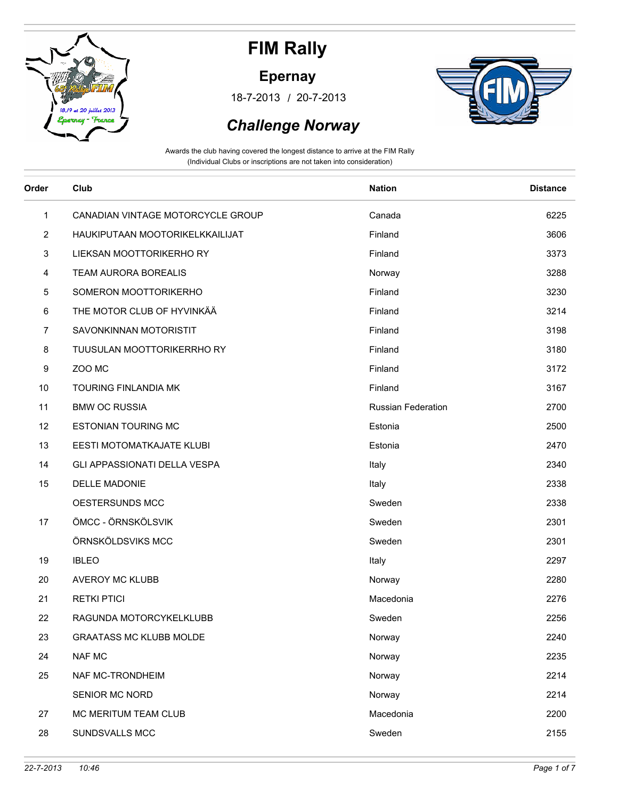

### **Epernay**

/ 18-7-2013 20-7-2013



### *Challenge Norway*

| Order          | Club                              | <b>Nation</b>             | <b>Distance</b> |
|----------------|-----------------------------------|---------------------------|-----------------|
| 1              | CANADIAN VINTAGE MOTORCYCLE GROUP | Canada                    | 6225            |
| $\overline{2}$ | HAUKIPUTAAN MOOTORIKELKKAILIJAT   | Finland                   | 3606            |
| 3              | LIEKSAN MOOTTORIKERHO RY          | Finland                   | 3373            |
| 4              | <b>TEAM AURORA BOREALIS</b>       | Norway                    | 3288            |
| 5              | SOMERON MOOTTORIKERHO             | Finland                   | 3230            |
| 6              | THE MOTOR CLUB OF HYVINKÄÄ        | Finland                   | 3214            |
| 7              | SAVONKINNAN MOTORISTIT            | Finland                   | 3198            |
| 8              | <b>TUUSULAN MOOTTORIKERRHO RY</b> | Finland                   | 3180            |
| 9              | ZOO MC                            | Finland                   | 3172            |
| 10             | TOURING FINLANDIA MK              | Finland                   | 3167            |
| 11             | <b>BMW OC RUSSIA</b>              | <b>Russian Federation</b> | 2700            |
| 12             | <b>ESTONIAN TOURING MC</b>        | Estonia                   | 2500            |
| 13             | EESTI MOTOMATKAJATE KLUBI         | Estonia                   | 2470            |
| 14             | GLI APPASSIONATI DELLA VESPA      | Italy                     | 2340            |
| 15             | <b>DELLE MADONIE</b>              | Italy                     | 2338            |
|                | OESTERSUNDS MCC                   | Sweden                    | 2338            |
| 17             | ÖMCC - ÖRNSKÖLSVIK                | Sweden                    | 2301            |
|                | ÖRNSKÖLDSVIKS MCC                 | Sweden                    | 2301            |
| 19             | <b>IBLEO</b>                      | Italy                     | 2297            |
| 20             | <b>AVEROY MC KLUBB</b>            | Norway                    | 2280            |
| 21             | <b>RETKI PTICI</b>                | Macedonia                 | 2276            |
| 22             | RAGUNDA MOTORCYKELKLUBB           | Sweden                    | 2256            |
| 23             | <b>GRAATASS MC KLUBB MOLDE</b>    | Norway                    | 2240            |
| 24             | <b>NAF MC</b>                     | Norway                    | 2235            |
| 25             | NAF MC-TRONDHEIM                  | Norway                    | 2214            |
|                | SENIOR MC NORD                    | Norway                    | 2214            |
| 27             | MC MERITUM TEAM CLUB              | Macedonia                 | 2200            |
| 28             | SUNDSVALLS MCC                    | Sweden                    | 2155            |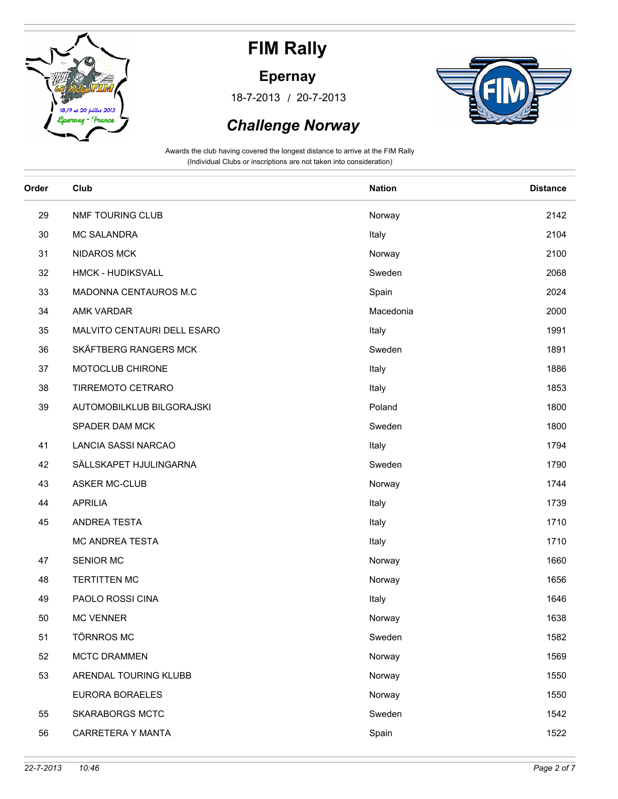

### **Epernay**

/ 18-7-2013 20-7-2013



### *Challenge Norway*

| Order | Club                        | <b>Nation</b> | <b>Distance</b> |
|-------|-----------------------------|---------------|-----------------|
| 29    | NMF TOURING CLUB            | Norway        | 2142            |
| 30    | <b>MC SALANDRA</b>          | Italy         | 2104            |
| 31    | <b>NIDAROS MCK</b>          | Norway        | 2100            |
| 32    | HMCK - HUDIKSVALL           | Sweden        | 2068            |
| 33    | MADONNA CENTAUROS M.C       | Spain         | 2024            |
| 34    | AMK VARDAR                  | Macedonia     | 2000            |
| 35    | MALVITO CENTAURI DELL ESARO | Italy         | 1991            |
| 36    | SKÄFTBERG RANGERS MCK       | Sweden        | 1891            |
| 37    | MOTOCLUB CHIRONE            | Italy         | 1886            |
| 38    | TIRREMOTO CETRARO           | Italy         | 1853            |
| 39    | AUTOMOBILKLUB BILGORAJSKI   | Poland        | 1800            |
|       | SPADER DAM MCK              | Sweden        | 1800            |
| 41    | LANCIA SASSI NARCAO         | Italy         | 1794            |
| 42    | SÄLLSKAPET HJULINGARNA      | Sweden        | 1790            |
| 43    | <b>ASKER MC-CLUB</b>        | Norway        | 1744            |
| 44    | <b>APRILIA</b>              | Italy         | 1739            |
| 45    | ANDREA TESTA                | Italy         | 1710            |
|       | MC ANDREA TESTA             | Italy         | 1710            |
| 47    | <b>SENIOR MC</b>            | Norway        | 1660            |
| 48    | <b>TERTITTEN MC</b>         | Norway        | 1656            |
| 49    | PAOLO ROSSI CINA            | Italy         | 1646            |
| 50    | <b>MC VENNER</b>            | Norway        | 1638            |
| 51    | <b>TÖRNROS MC</b>           | Sweden        | 1582            |
| 52    | MCTC DRAMMEN                | Norway        | 1569            |
| 53    | ARENDAL TOURING KLUBB       | Norway        | 1550            |
|       | EURORA BORAELES             | Norway        | 1550            |
| 55    | <b>SKARABORGS MCTC</b>      | Sweden        | 1542            |
| 56    | CARRETERA Y MANTA           | Spain         | 1522            |
|       |                             |               |                 |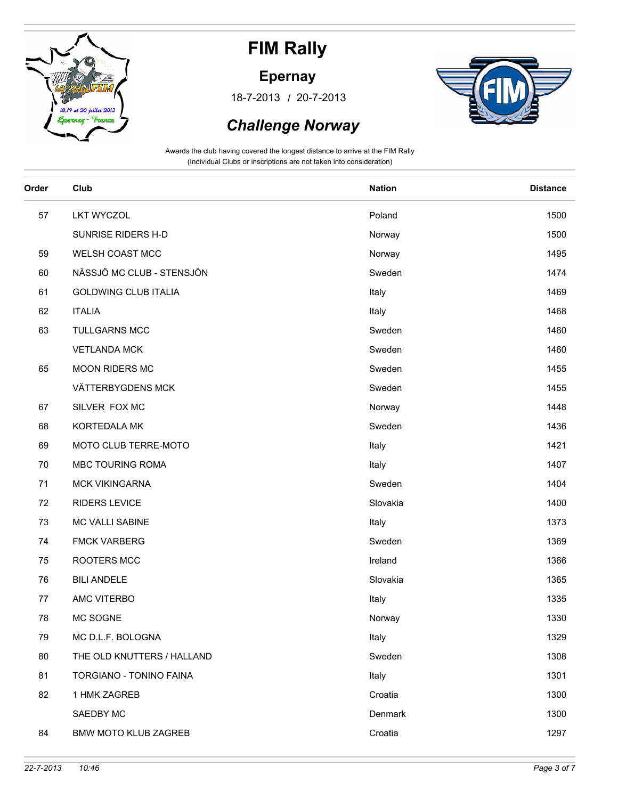

### **Epernay**

/ 18-7-2013 20-7-2013



### *Challenge Norway*

| Order | Club                        | <b>Nation</b> | <b>Distance</b> |
|-------|-----------------------------|---------------|-----------------|
| 57    | <b>LKT WYCZOL</b>           | Poland        | 1500            |
|       | SUNRISE RIDERS H-D          | Norway        | 1500            |
| 59    | WELSH COAST MCC             | Norway        | 1495            |
| 60    | NÄSSJÖ MC CLUB - STENSJÖN   | Sweden        | 1474            |
| 61    | <b>GOLDWING CLUB ITALIA</b> | Italy         | 1469            |
| 62    | <b>ITALIA</b>               | Italy         | 1468            |
| 63    | <b>TULLGARNS MCC</b>        | Sweden        | 1460            |
|       | <b>VETLANDA MCK</b>         | Sweden        | 1460            |
| 65    | MOON RIDERS MC              | Sweden        | 1455            |
|       | VÄTTERBYGDENS MCK           | Sweden        | 1455            |
| 67    | SILVER FOX MC               | Norway        | 1448            |
| 68    | KORTEDALA MK                | Sweden        | 1436            |
| 69    | MOTO CLUB TERRE-MOTO        | Italy         | 1421            |
| 70    | MBC TOURING ROMA            | Italy         | 1407            |
| 71    | <b>MCK VIKINGARNA</b>       | Sweden        | 1404            |
| 72    | <b>RIDERS LEVICE</b>        | Slovakia      | 1400            |
| 73    | MC VALLI SABINE             | Italy         | 1373            |
| 74    | <b>FMCK VARBERG</b>         | Sweden        | 1369            |
| 75    | ROOTERS MCC                 | Ireland       | 1366            |
| 76    | <b>BILI ANDELE</b>          | Slovakia      | 1365            |
| 77    | AMC VITERBO                 | Italy         | 1335            |
| 78    | MC SOGNE                    | Norway        | 1330            |
| 79    | MC D.L.F. BOLOGNA           | Italy         | 1329            |
| 80    | THE OLD KNUTTERS / HALLAND  | Sweden        | 1308            |
| 81    | TORGIANO - TONINO FAINA     | Italy         | 1301            |
| 82    | 1 HMK ZAGREB                | Croatia       | 1300            |
|       | SAEDBY MC                   | Denmark       | 1300            |
| 84    | <b>BMW MOTO KLUB ZAGREB</b> | Croatia       | 1297            |
|       |                             |               |                 |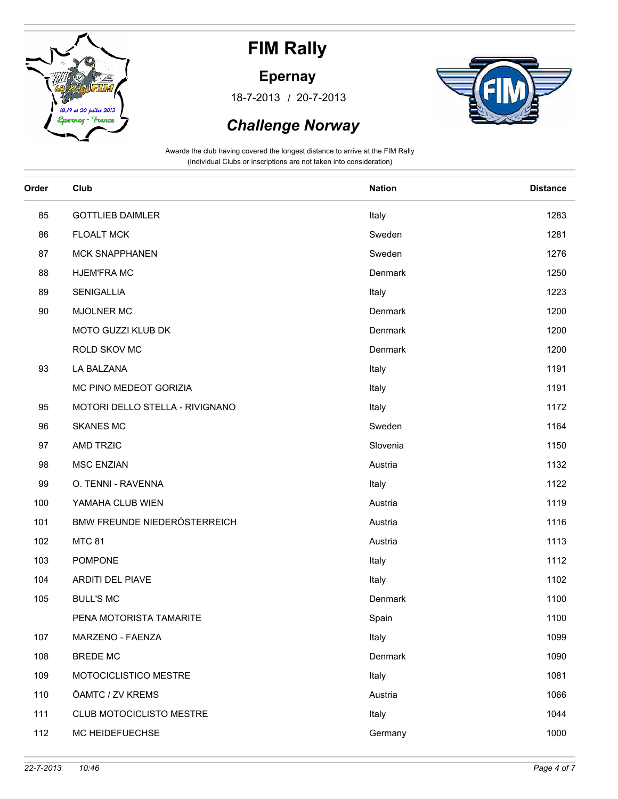

### **Epernay**

/ 18-7-2013 20-7-2013



### *Challenge Norway*

| Order | Club                            | <b>Nation</b> | <b>Distance</b> |
|-------|---------------------------------|---------------|-----------------|
| 85    | <b>GOTTLIEB DAIMLER</b>         | Italy         | 1283            |
| 86    | <b>FLOALT MCK</b>               | Sweden        | 1281            |
| 87    | <b>MCK SNAPPHANEN</b>           | Sweden        | 1276            |
| 88    | <b>HJEM'FRA MC</b>              | Denmark       | 1250            |
| 89    | <b>SENIGALLIA</b>               | Italy         | 1223            |
| 90    | <b>MJOLNER MC</b>               | Denmark       | 1200            |
|       | MOTO GUZZI KLUB DK              | Denmark       | 1200            |
|       | ROLD SKOV MC                    | Denmark       | 1200            |
| 93    | LA BALZANA                      | Italy         | 1191            |
|       | MC PINO MEDEOT GORIZIA          | Italy         | 1191            |
| 95    | MOTORI DELLO STELLA - RIVIGNANO | Italy         | 1172            |
| 96    | <b>SKANES MC</b>                | Sweden        | 1164            |
| 97    | AMD TRZIC                       | Slovenia      | 1150            |
| 98    | <b>MSC ENZIAN</b>               | Austria       | 1132            |
| 99    | O. TENNI - RAVENNA              | Italy         | 1122            |
| 100   | YAMAHA CLUB WIEN                | Austria       | 1119            |
| 101   | BMW FREUNDE NIEDERÖSTERREICH    | Austria       | 1116            |
| 102   | <b>MTC 81</b>                   | Austria       | 1113            |
| 103   | <b>POMPONE</b>                  | Italy         | 1112            |
| 104   | <b>ARDITI DEL PIAVE</b>         | Italy         | 1102            |
| 105   | <b>BULL'S MC</b>                | Denmark       | 1100            |
|       | PENA MOTORISTA TAMARITE         | Spain         | 1100            |
| 107   | MARZENO - FAENZA                | Italy         | 1099            |
| 108   | <b>BREDE MC</b>                 | Denmark       | 1090            |
| 109   | MOTOCICLISTICO MESTRE           | Italy         | 1081            |
| 110   | ÖAMTC / ZV KREMS                | Austria       | 1066            |
| 111   | CLUB MOTOCICLISTO MESTRE        | Italy         | 1044            |
| 112   | MC HEIDEFUECHSE                 | Germany       | 1000            |
|       |                                 |               |                 |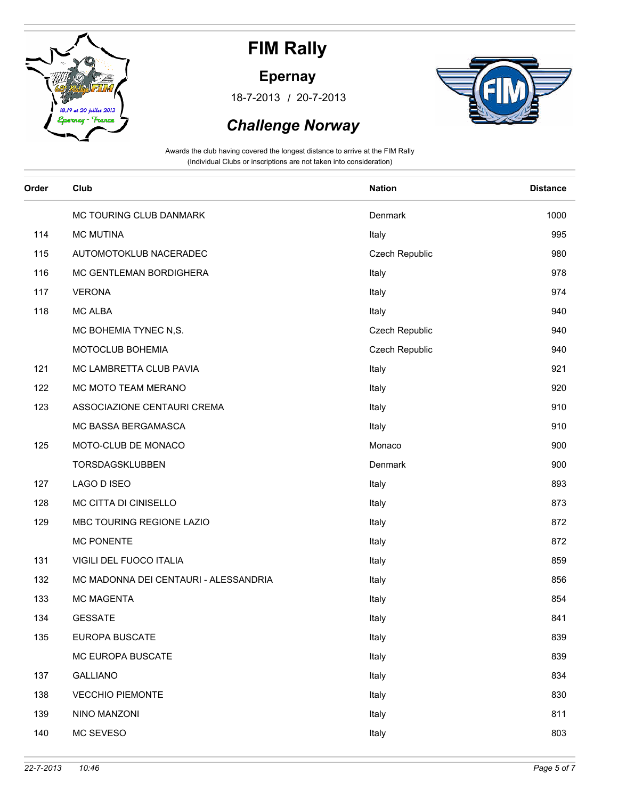

### **Epernay**

/ 18-7-2013 20-7-2013



### *Challenge Norway*

| Order | Club                                  | <b>Nation</b>  | <b>Distance</b> |
|-------|---------------------------------------|----------------|-----------------|
|       | MC TOURING CLUB DANMARK               | Denmark        | 1000            |
| 114   | <b>MC MUTINA</b>                      | Italy          | 995             |
| 115   | AUTOMOTOKLUB NACERADEC                | Czech Republic | 980             |
| 116   | MC GENTLEMAN BORDIGHERA               | Italy          | 978             |
| 117   | <b>VERONA</b>                         | Italy          | 974             |
| 118   | <b>MC ALBA</b>                        | Italy          | 940             |
|       | MC BOHEMIA TYNEC N,S.                 | Czech Republic | 940             |
|       | MOTOCLUB BOHEMIA                      | Czech Republic | 940             |
| 121   | MC LAMBRETTA CLUB PAVIA               | Italy          | 921             |
| 122   | MC MOTO TEAM MERANO                   | Italy          | 920             |
| 123   | ASSOCIAZIONE CENTAURI CREMA           | Italy          | 910             |
|       | MC BASSA BERGAMASCA                   | Italy          | 910             |
| 125   | MOTO-CLUB DE MONACO                   | Monaco         | 900             |
|       | TORSDAGSKLUBBEN                       | Denmark        | 900             |
| 127   | LAGO D ISEO                           | Italy          | 893             |
| 128   | MC CITTA DI CINISELLO                 | Italy          | 873             |
| 129   | MBC TOURING REGIONE LAZIO             | Italy          | 872             |
|       | <b>MC PONENTE</b>                     | Italy          | 872             |
| 131   | VIGILI DEL FUOCO ITALIA               | Italy          | 859             |
| 132   | MC MADONNA DEI CENTAURI - ALESSANDRIA | Italy          | 856             |
| 133   | <b>MC MAGENTA</b>                     | Italy          | 854             |
| 134   | <b>GESSATE</b>                        | Italy          | 841             |
| 135   | EUROPA BUSCATE                        | Italy          | 839             |
|       | MC EUROPA BUSCATE                     | Italy          | 839             |
| 137   | <b>GALLIANO</b>                       | Italy          | 834             |
| 138   | <b>VECCHIO PIEMONTE</b>               | Italy          | 830             |
| 139   | NINO MANZONI                          | Italy          | 811             |
| 140   | MC SEVESO                             | Italy          | 803             |
|       |                                       |                |                 |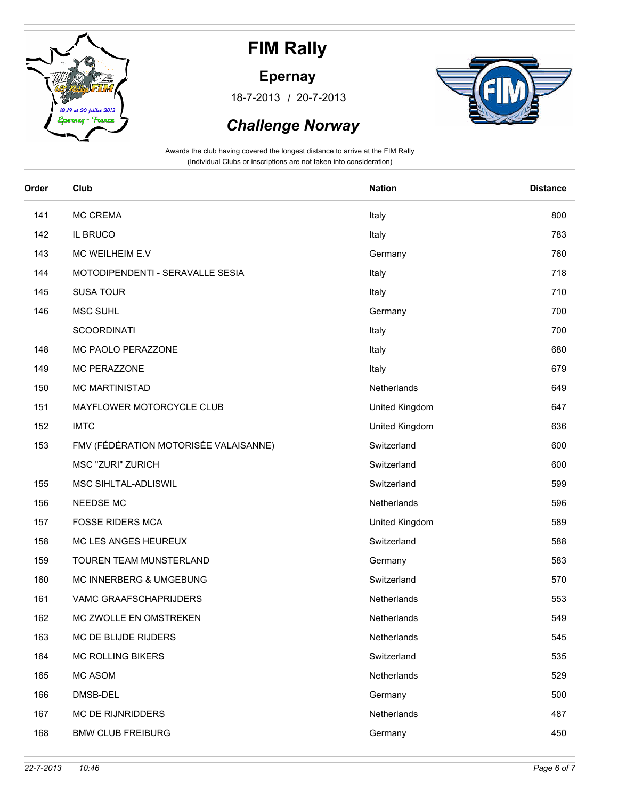

### **Epernay**

/ 18-7-2013 20-7-2013



### *Challenge Norway*

| Order | Club                                  | <b>Nation</b>  | <b>Distance</b> |
|-------|---------------------------------------|----------------|-----------------|
| 141   | <b>MC CREMA</b>                       | Italy          | 800             |
| 142   | IL BRUCO                              | Italy          | 783             |
| 143   | MC WEILHEIM E.V                       | Germany        | 760             |
| 144   | MOTODIPENDENTI - SERAVALLE SESIA      | Italy          | 718             |
| 145   | <b>SUSA TOUR</b>                      | Italy          | 710             |
| 146   | MSC SUHL                              | Germany        | 700             |
|       | <b>SCOORDINATI</b>                    | Italy          | 700             |
| 148   | MC PAOLO PERAZZONE                    | Italy          | 680             |
| 149   | MC PERAZZONE                          | Italy          | 679             |
| 150   | <b>MC MARTINISTAD</b>                 | Netherlands    | 649             |
| 151   | MAYFLOWER MOTORCYCLE CLUB             | United Kingdom | 647             |
| 152   | <b>IMTC</b>                           | United Kingdom | 636             |
| 153   | FMV (FÉDÉRATION MOTORISÉE VALAISANNE) | Switzerland    | 600             |
|       | <b>MSC "ZURI" ZURICH</b>              | Switzerland    | 600             |
| 155   | MSC SIHLTAL-ADLISWIL                  | Switzerland    | 599             |
| 156   | NEEDSE MC                             | Netherlands    | 596             |
| 157   | <b>FOSSE RIDERS MCA</b>               | United Kingdom | 589             |
| 158   | MC LES ANGES HEUREUX                  | Switzerland    | 588             |
| 159   | TOUREN TEAM MUNSTERLAND               | Germany        | 583             |
| 160   | MC INNERBERG & UMGEBUNG               | Switzerland    | 570             |
| 161   | VAMC GRAAFSCHAPRIJDERS                | Netherlands    | 553             |
| 162   | MC ZWOLLE EN OMSTREKEN                | Netherlands    | 549             |
| 163   | MC DE BLIJDE RIJDERS                  | Netherlands    | 545             |
| 164   | <b>MC ROLLING BIKERS</b>              | Switzerland    | 535             |
| 165   | MC ASOM                               | Netherlands    | 529             |
| 166   | DMSB-DEL                              | Germany        | 500             |
| 167   | MC DE RIJNRIDDERS                     | Netherlands    | 487             |
| 168   | <b>BMW CLUB FREIBURG</b>              | Germany        | 450             |
|       |                                       |                |                 |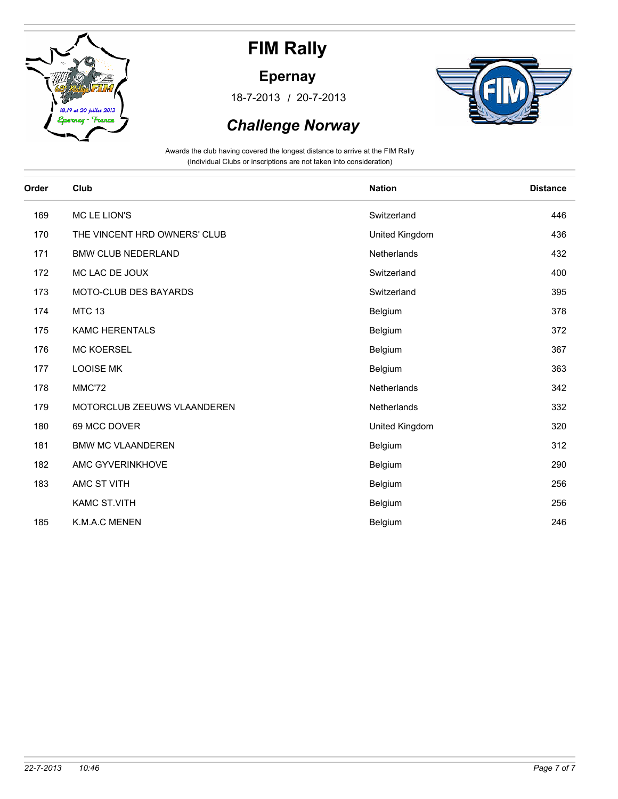

### **Epernay**

/ 18-7-2013 20-7-2013



### *Challenge Norway*

| Order | Club                         | <b>Nation</b>  | <b>Distance</b> |
|-------|------------------------------|----------------|-----------------|
| 169   | MC LE LION'S                 | Switzerland    | 446             |
| 170   | THE VINCENT HRD OWNERS' CLUB | United Kingdom | 436             |
| 171   | <b>BMW CLUB NEDERLAND</b>    | Netherlands    | 432             |
| 172   | MC LAC DE JOUX               | Switzerland    | 400             |
| 173   | MOTO-CLUB DES BAYARDS        | Switzerland    | 395             |
| 174   | <b>MTC 13</b>                | Belgium        | 378             |
| 175   | <b>KAMC HERENTALS</b>        | Belgium        | 372             |
| 176   | <b>MC KOERSEL</b>            | Belgium        | 367             |
| 177   | <b>LOOISE MK</b>             | Belgium        | 363             |
| 178   | MMC'72                       | Netherlands    | 342             |
| 179   | MOTORCLUB ZEEUWS VLAANDEREN  | Netherlands    | 332             |
| 180   | 69 MCC DOVER                 | United Kingdom | 320             |
| 181   | <b>BMW MC VLAANDEREN</b>     | Belgium        | 312             |
| 182   | AMC GYVERINKHOVE             | Belgium        | 290             |
| 183   | AMC ST VITH                  | Belgium        | 256             |
|       | <b>KAMC ST.VITH</b>          | Belgium        | 256             |
| 185   | K.M.A.C MENEN                | Belgium        | 246             |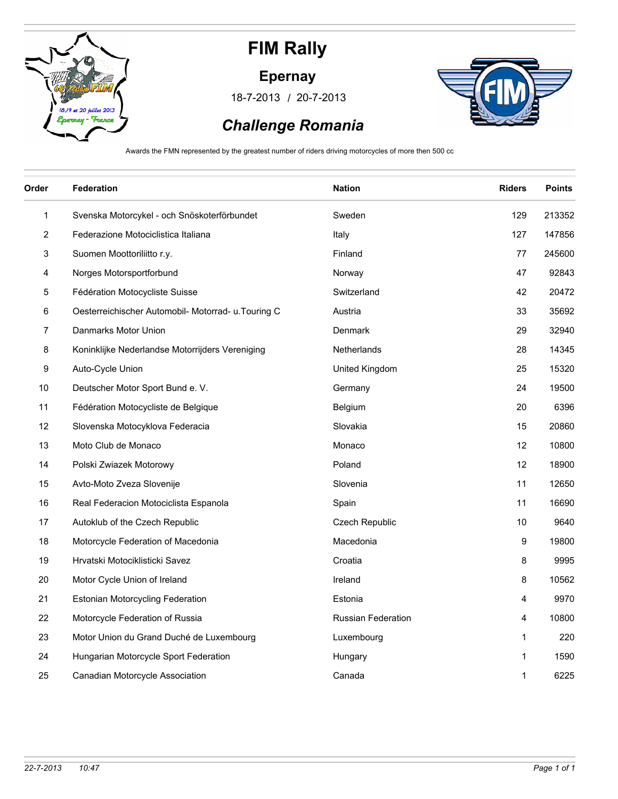

#### **Epernay**

/ 18-7-2013 20-7-2013



## *Challenge Romania*

Awards the FMN represented by the greatest number of riders driving motorcycles of more then 500 cc

| Order | <b>Federation</b>                                   | <b>Nation</b>             | <b>Riders</b> | <b>Points</b> |
|-------|-----------------------------------------------------|---------------------------|---------------|---------------|
| 1     | Svenska Motorcykel - och Snöskoterförbundet         | Sweden                    | 129           | 213352        |
| 2     | Federazione Motociclistica Italiana                 | Italy                     | 127           | 147856        |
| 3     | Suomen Moottoriliitto r.y.                          | Finland                   | 77            | 245600        |
| 4     | Norges Motorsportforbund                            | Norway                    | 47            | 92843         |
| 5     | Fédération Motocycliste Suisse                      | Switzerland               | 42            | 20472         |
| 6     | Oesterreichischer Automobil- Motorrad- u. Touring C | Austria                   | 33            | 35692         |
| 7     | Danmarks Motor Union                                | Denmark                   | 29            | 32940         |
| 8     | Koninklijke Nederlandse Motorrijders Vereniging     | Netherlands               | 28            | 14345         |
| 9     | Auto-Cycle Union                                    | United Kingdom            | 25            | 15320         |
| 10    | Deutscher Motor Sport Bund e. V.                    | Germany                   | 24            | 19500         |
| 11    | Fédération Motocycliste de Belgique                 | Belgium                   | 20            | 6396          |
| 12    | Slovenska Motocyklova Federacia                     | Slovakia                  | 15            | 20860         |
| 13    | Moto Club de Monaco                                 | Monaco                    | 12            | 10800         |
| 14    | Polski Zwiazek Motorowy                             | Poland                    | 12            | 18900         |
| 15    | Avto-Moto Zveza Slovenije                           | Slovenia                  | 11            | 12650         |
| 16    | Real Federacion Motociclista Espanola               | Spain                     | 11            | 16690         |
| 17    | Autoklub of the Czech Republic                      | Czech Republic            | 10            | 9640          |
| 18    | Motorcycle Federation of Macedonia                  | Macedonia                 | 9             | 19800         |
| 19    | Hrvatski Motociklisticki Savez                      | Croatia                   | 8             | 9995          |
| 20    | Motor Cycle Union of Ireland                        | Ireland                   | 8             | 10562         |
| 21    | Estonian Motorcycling Federation                    | Estonia                   | 4             | 9970          |
| 22    | Motorcycle Federation of Russia                     | <b>Russian Federation</b> | 4             | 10800         |
| 23    | Motor Union du Grand Duché de Luxembourg            | Luxembourg                | 1             | 220           |
| 24    | Hungarian Motorcycle Sport Federation               | Hungary                   | 1             | 1590          |
| 25    | Canadian Motorcycle Association                     | Canada                    | 1             | 6225          |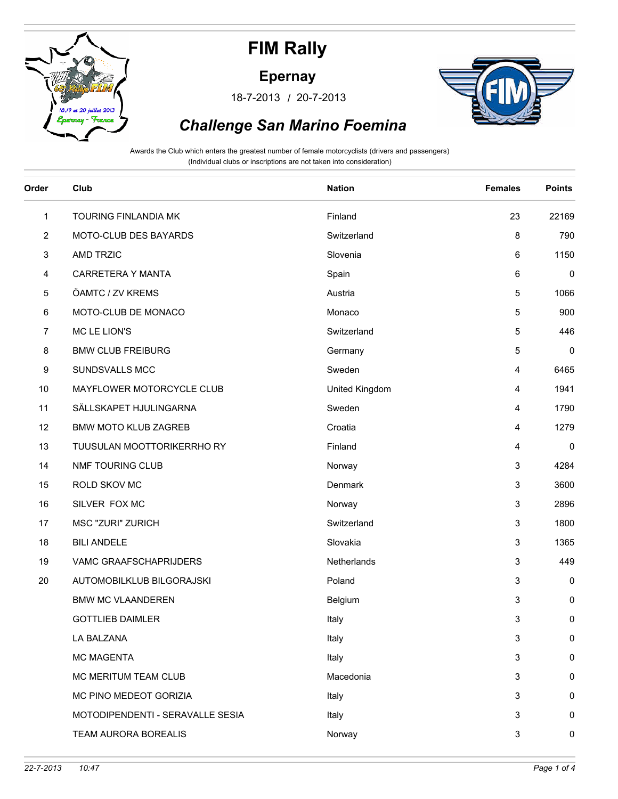

#### **Epernay**

/ 18-7-2013 20-7-2013



## *Challenge San Marino Foemina*

Awards the Club which enters the greatest number of female motorcyclists (drivers and passengers) (Individual clubs or inscriptions are not taken into consideration)

| Order | Club                             | <b>Nation</b>  | <b>Females</b> | <b>Points</b> |
|-------|----------------------------------|----------------|----------------|---------------|
| 1     | TOURING FINLANDIA MK             | Finland        | 23             | 22169         |
| 2     | MOTO-CLUB DES BAYARDS            | Switzerland    | 8              | 790           |
| 3     | <b>AMD TRZIC</b>                 | Slovenia       | 6              | 1150          |
| 4     | CARRETERA Y MANTA                | Spain          | 6              | 0             |
| 5     | ÖAMTC / ZV KREMS                 | Austria        | 5              | 1066          |
| 6     | MOTO-CLUB DE MONACO              | Monaco         | 5              | 900           |
| 7     | MC LE LION'S                     | Switzerland    | 5              | 446           |
| 8     | <b>BMW CLUB FREIBURG</b>         | Germany        | 5              | 0             |
| 9     | SUNDSVALLS MCC                   | Sweden         | 4              | 6465          |
| 10    | MAYFLOWER MOTORCYCLE CLUB        | United Kingdom | 4              | 1941          |
| 11    | SÄLLSKAPET HJULINGARNA           | Sweden         | 4              | 1790          |
| 12    | <b>BMW MOTO KLUB ZAGREB</b>      | Croatia        | 4              | 1279          |
| 13    | TUUSULAN MOOTTORIKERRHO RY       | Finland        | 4              | 0             |
| 14    | NMF TOURING CLUB                 | Norway         | 3              | 4284          |
| 15    | ROLD SKOV MC                     | Denmark        | 3              | 3600          |
| 16    | SILVER FOX MC                    | Norway         | 3              | 2896          |
| 17    | <b>MSC "ZURI" ZURICH</b>         | Switzerland    | 3              | 1800          |
| 18    | <b>BILI ANDELE</b>               | Slovakia       | 3              | 1365          |
| 19    | VAMC GRAAFSCHAPRIJDERS           | Netherlands    | 3              | 449           |
| 20    | AUTOMOBILKLUB BILGORAJSKI        | Poland         | 3              | 0             |
|       | <b>BMW MC VLAANDEREN</b>         | Belgium        | 3              | 0             |
|       | <b>GOTTLIEB DAIMLER</b>          | Italy          | 3              | 0             |
|       | LA BALZANA                       | Italy          | 3              | 0             |
|       | <b>MC MAGENTA</b>                | Italy          | 3              | 0             |
|       | MC MERITUM TEAM CLUB             | Macedonia      | 3              | $\mathbf 0$   |
|       | MC PINO MEDEOT GORIZIA           | Italy          | 3              | 0             |
|       | MOTODIPENDENTI - SERAVALLE SESIA | Italy          | 3              | 0             |
|       | TEAM AURORA BOREALIS             | Norway         | 3              | 0             |
|       |                                  |                |                |               |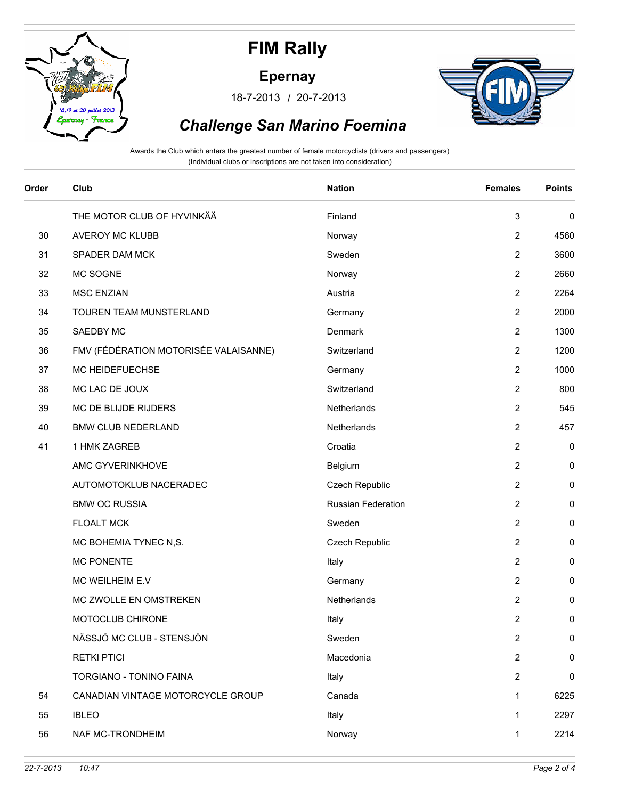

#### **Epernay**

/ 18-7-2013 20-7-2013



## *Challenge San Marino Foemina*

Awards the Club which enters the greatest number of female motorcyclists (drivers and passengers) (Individual clubs or inscriptions are not taken into consideration)

| Order | Club                                  | <b>Nation</b>      | <b>Females</b> | <b>Points</b> |
|-------|---------------------------------------|--------------------|----------------|---------------|
|       | THE MOTOR CLUB OF HYVINKÄÄ            | Finland            | 3              | 0             |
| 30    | <b>AVEROY MC KLUBB</b>                | Norway             | 2              | 4560          |
| 31    | SPADER DAM MCK                        | Sweden             | 2              | 3600          |
| 32    | MC SOGNE                              | Norway             | $\overline{2}$ | 2660          |
| 33    | <b>MSC ENZIAN</b>                     | Austria            | 2              | 2264          |
| 34    | TOUREN TEAM MUNSTERLAND               | Germany            | $\overline{2}$ | 2000          |
| 35    | SAEDBY MC                             | Denmark            | 2              | 1300          |
| 36    | FMV (FÉDÉRATION MOTORISÉE VALAISANNE) | Switzerland        | 2              | 1200          |
| 37    | MC HEIDEFUECHSE                       | Germany            | $\overline{2}$ | 1000          |
| 38    | MC LAC DE JOUX                        | Switzerland        | 2              | 800           |
| 39    | MC DE BLIJDE RIJDERS                  | Netherlands        | 2              | 545           |
| 40    | <b>BMW CLUB NEDERLAND</b>             | Netherlands        | $\overline{2}$ | 457           |
| 41    | 1 HMK ZAGREB                          | Croatia            | $\overline{2}$ | 0             |
|       | AMC GYVERINKHOVE                      | Belgium            | 2              | 0             |
|       | AUTOMOTOKLUB NACERADEC                | Czech Republic     | $\overline{2}$ | 0             |
|       | <b>BMW OC RUSSIA</b>                  | Russian Federation | $\overline{2}$ | 0             |
|       | <b>FLOALT MCK</b>                     | Sweden             | 2              | 0             |
|       | MC BOHEMIA TYNEC N,S.                 | Czech Republic     | $\overline{2}$ | 0             |
|       | <b>MC PONENTE</b>                     | Italy              | $\overline{2}$ | 0             |
|       | MC WEILHEIM E.V                       | Germany            | 2              | 0             |
|       | MC ZWOLLE EN OMSTREKEN                | Netherlands        | 2              | 0             |
|       | MOTOCLUB CHIRONE                      | Italy              | 2              | 0             |
|       | NÄSSJÖ MC CLUB - STENSJÖN             | Sweden             | 2              | 0             |
|       | <b>RETKI PTICI</b>                    | Macedonia          | $\overline{2}$ | 0             |
|       | TORGIANO - TONINO FAINA               | Italy              | $\overline{2}$ | $\pmb{0}$     |
| 54    | CANADIAN VINTAGE MOTORCYCLE GROUP     | Canada             | 1              | 6225          |
| 55    | <b>IBLEO</b>                          | Italy              | 1              | 2297          |
| 56    | NAF MC-TRONDHEIM                      | Norway             | 1              | 2214          |

et 20 in

nau - Fra

 $18.19$ 

llat 2013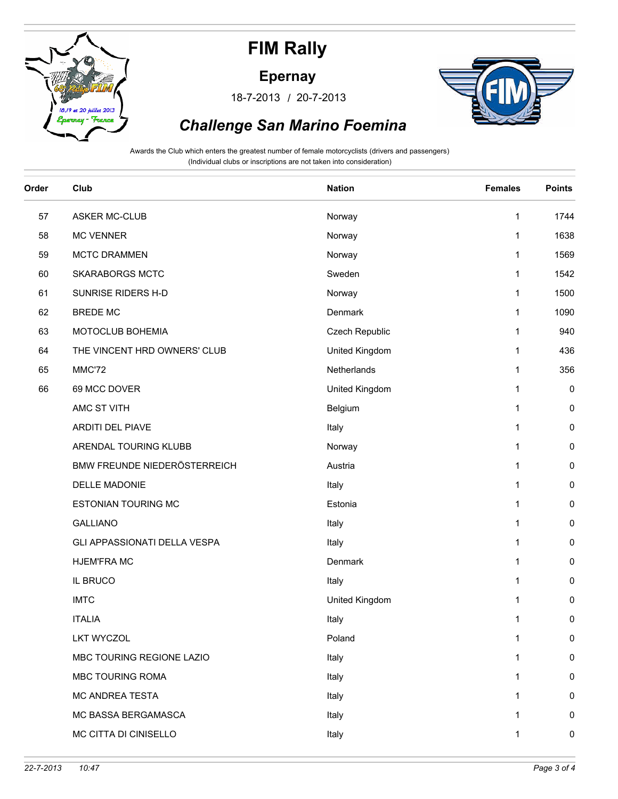

et 20 in

nau - Fra

 $18.19$ 

llat 2013

**FIM Rally**

**Epernay**

/ 18-7-2013 20-7-2013



## *Challenge San Marino Foemina*

Awards the Club which enters the greatest number of female motorcyclists (drivers and passengers) (Individual clubs or inscriptions are not taken into consideration)

| Order | Club                         | <b>Nation</b>  | <b>Females</b> | <b>Points</b> |
|-------|------------------------------|----------------|----------------|---------------|
| 57    | <b>ASKER MC-CLUB</b>         | Norway         | $\mathbf 1$    | 1744          |
| 58    | <b>MC VENNER</b>             | Norway         | 1              | 1638          |
| 59    | <b>MCTC DRAMMEN</b>          | Norway         | 1              | 1569          |
| 60    | <b>SKARABORGS MCTC</b>       | Sweden         | 1              | 1542          |
| 61    | SUNRISE RIDERS H-D           | Norway         | 1              | 1500          |
| 62    | <b>BREDE MC</b>              | Denmark        | 1              | 1090          |
| 63    | MOTOCLUB BOHEMIA             | Czech Republic | 1              | 940           |
| 64    | THE VINCENT HRD OWNERS' CLUB | United Kingdom | 1              | 436           |
| 65    | MMC'72                       | Netherlands    | 1              | 356           |
| 66    | 69 MCC DOVER                 | United Kingdom | 1              | 0             |
|       | AMC ST VITH                  | Belgium        | 1              | 0             |
|       | ARDITI DEL PIAVE             | Italy          | 1              | 0             |
|       | ARENDAL TOURING KLUBB        | Norway         | 1              | 0             |
|       | BMW FREUNDE NIEDERÖSTERREICH | Austria        | 1              | 0             |
|       | DELLE MADONIE                | Italy          | 1              | 0             |
|       | <b>ESTONIAN TOURING MC</b>   | Estonia        | 1              | 0             |
|       | <b>GALLIANO</b>              | Italy          | 1              | 0             |
|       | GLI APPASSIONATI DELLA VESPA | Italy          | 1              | 0             |
|       | <b>HJEM'FRA MC</b>           | Denmark        | $\mathbf{1}$   | 0             |
|       | <b>IL BRUCO</b>              | Italy          | 1              | 0             |
|       | <b>IMTC</b>                  | United Kingdom | 1              | 0             |
|       | <b>ITALIA</b>                | Italy          | 1              | 0             |
|       | <b>LKT WYCZOL</b>            | Poland         | 1              | 0             |
|       | MBC TOURING REGIONE LAZIO    | Italy          | 1              | 0             |
|       | MBC TOURING ROMA             | Italy          | 1              | 0             |
|       | MC ANDREA TESTA              | Italy          | 1              | 0             |
|       | MC BASSA BERGAMASCA          | Italy          | 1              | 0             |
|       | MC CITTA DI CINISELLO        | Italy          | 1              | 0             |